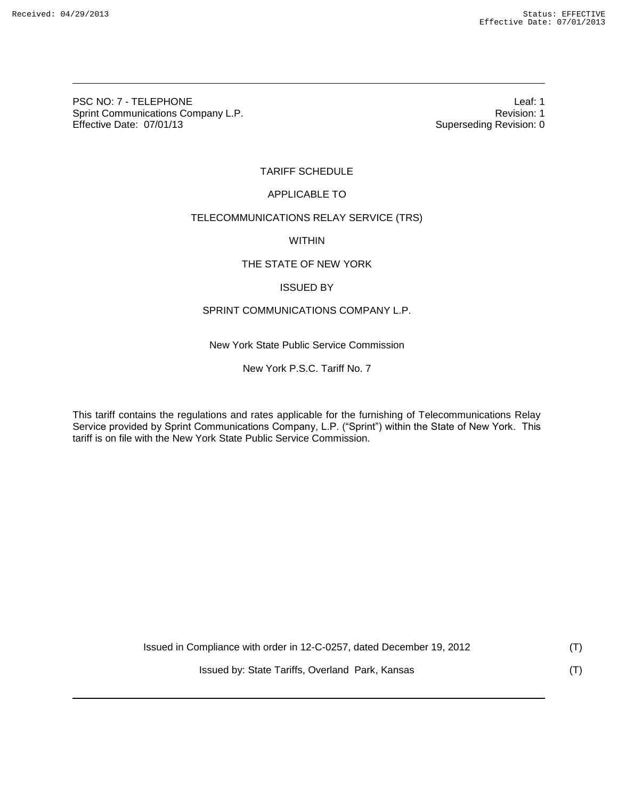PSC NO: 7 - TELEPHONE Leaf: 1<br>
Sorint Communications Company L.P. 2009 2009 2009 2009 2009 2009 2012 2013 2014 2015 2016 Sprint Communications Company L.P. Effective Date: 07/01/13 **Superseding Revision: 0** Superseding Revision: 0

## TARIFF SCHEDULE

## APPLICABLE TO

### TELECOMMUNICATIONS RELAY SERVICE (TRS)

**WITHIN** 

### THE STATE OF NEW YORK

### ISSUED BY

## SPRINT COMMUNICATIONS COMPANY L.P.

New York State Public Service Commission

New York P.S.C. Tariff No. 7

This tariff contains the regulations and rates applicable for the furnishing of Telecommunications Relay Service provided by Sprint Communications Company, L.P. ("Sprint") within the State of New York. This tariff is on file with the New York State Public Service Commission.

Issued in Compliance with order in 12-C-0257, dated December 19, 2012 (T)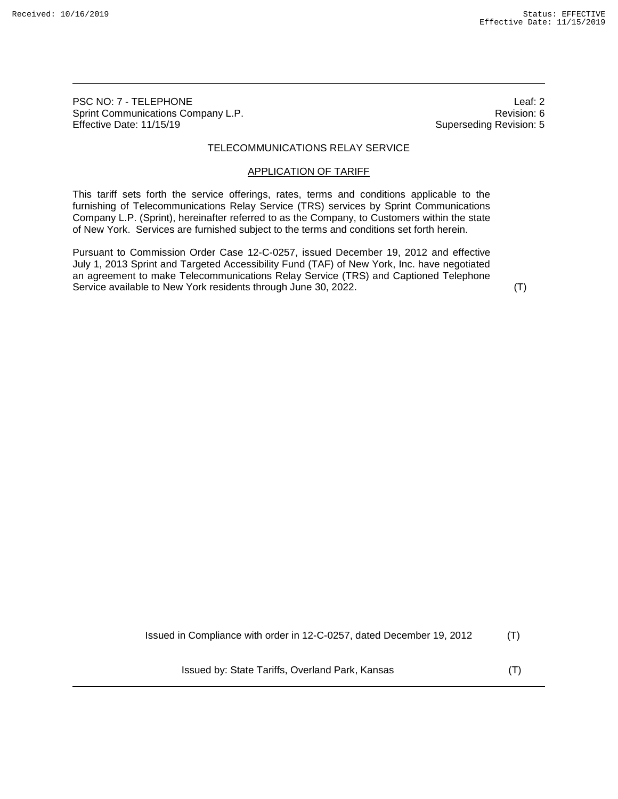PSC NO: 7 - TELEPHONE Leaf: 2<br>
Sprint Communications Company L.P. 2<br>
Sprint Communications Company L.P. Sprint Communications Company L.P.<br>Effective Date: 11/15/19

Superseding Revision: 5

## TELECOMMUNICATIONS RELAY SERVICE

### APPLICATION OF TARIFF

This tariff sets forth the service offerings, rates, terms and conditions applicable to the furnishing of Telecommunications Relay Service (TRS) services by Sprint Communications Company L.P. (Sprint), hereinafter referred to as the Company, to Customers within the state of New York. Services are furnished subject to the terms and conditions set forth herein.

Pursuant to Commission Order Case 12-C-0257, issued December 19, 2012 and effective July 1, 2013 Sprint and Targeted Accessibility Fund (TAF) of New York, Inc. have negotiated an agreement to make Telecommunications Relay Service (TRS) and Captioned Telephone Service available to New York residents through June 30, 2022.

Issued in Compliance with order in 12-C-0257, dated December 19, 2012 (T)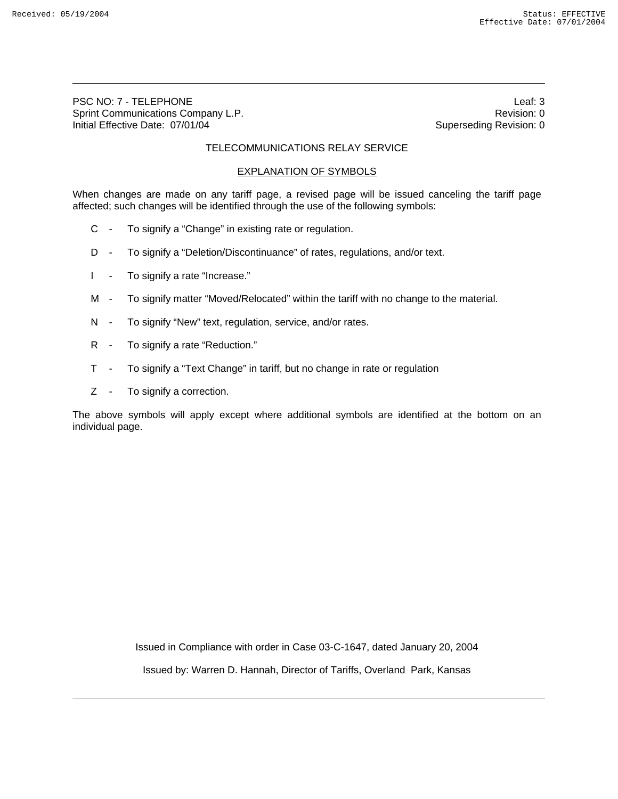PSC NO: 7 - TELEPHONE Leaf: 3 Sprint Communications Company L.P. **Revision: 0 Revision: 0 Revision: 0** Initial Effective Date: 07/01/04 Superseding Revision: 0

## TELECOMMUNICATIONS RELAY SERVICE

### EXPLANATION OF SYMBOLS

When changes are made on any tariff page, a revised page will be issued canceling the tariff page affected; such changes will be identified through the use of the following symbols:

- C To signify a "Change" in existing rate or regulation.
- D To signify a "Deletion/Discontinuance" of rates, regulations, and/or text.
- I To signify a rate "Increase."
- M To signify matter "Moved/Relocated" within the tariff with no change to the material.
- N To signify "New" text, regulation, service, and/or rates.
- R To signify a rate "Reduction."
- T To signify a "Text Change" in tariff, but no change in rate or regulation
- Z To signify a correction.

The above symbols will apply except where additional symbols are identified at the bottom on an individual page.

Issued in Compliance with order in Case 03-C-1647, dated January 20, 2004

Issued by: Warren D. Hannah, Director of Tariffs, Overland Park, Kansas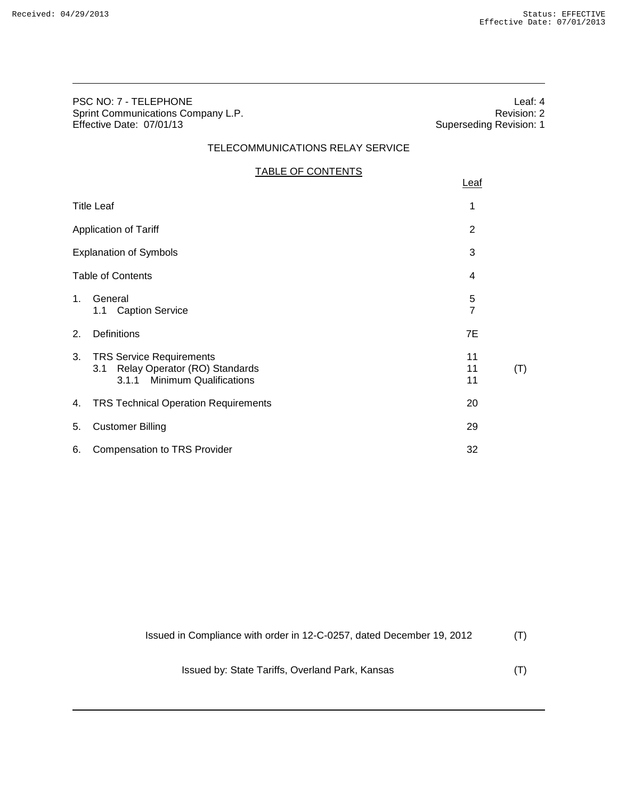|                | PSC NO: 7 - TELEPHONE<br>Sprint Communications Company L.P.<br>Effective Date: 07/01/13                           | <b>Superseding Revision: 1</b> | Leaf: 4<br>Revision: 2 |
|----------------|-------------------------------------------------------------------------------------------------------------------|--------------------------------|------------------------|
|                | TELECOMMUNICATIONS RELAY SERVICE                                                                                  |                                |                        |
|                | <b>TABLE OF CONTENTS</b>                                                                                          |                                |                        |
|                |                                                                                                                   | Leaf                           |                        |
|                | <b>Title Leaf</b>                                                                                                 | 1                              |                        |
|                | <b>Application of Tariff</b>                                                                                      | $\overline{2}$                 |                        |
|                | <b>Explanation of Symbols</b>                                                                                     | 3                              |                        |
|                | <b>Table of Contents</b>                                                                                          | 4                              |                        |
| 1 <sub>1</sub> | General<br>1.1 Caption Service                                                                                    | 5<br>$\overline{7}$            |                        |
| 2.             | Definitions                                                                                                       | 7E                             |                        |
| 3.             | <b>TRS Service Requirements</b><br>Relay Operator (RO) Standards<br>3.1<br><b>Minimum Qualifications</b><br>3.1.1 | 11<br>11<br>11                 | (T)                    |
| 4.             | <b>TRS Technical Operation Requirements</b>                                                                       | 20                             |                        |
| 5.             | <b>Customer Billing</b>                                                                                           | 29                             |                        |
| 6.             | <b>Compensation to TRS Provider</b>                                                                               | 32                             |                        |

| Issued in Compliance with order in 12-C-0257, dated December 19, 2012 | (T) |
|-----------------------------------------------------------------------|-----|
|                                                                       |     |

| Issued by: State Tariffs, Overland Park, Kansas |  |
|-------------------------------------------------|--|
|-------------------------------------------------|--|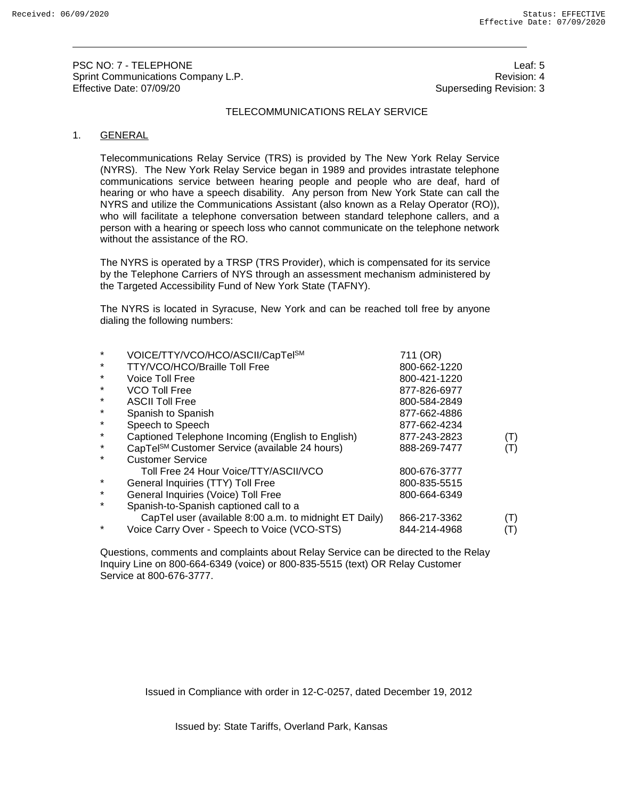PSC NO: 7 - TELEPHONE Leaf: 5 Sprint Communications Company L.P. Effective Date: 07/09/20 Superseding Revision: 3

### TELECOMMUNICATIONS RELAY SERVICE

#### 1. GENERAL

Telecommunications Relay Service (TRS) is provided by The New York Relay Service (NYRS). The New York Relay Service began in 1989 and provides intrastate telephone communications service between hearing people and people who are deaf, hard of hearing or who have a speech disability. Any person from New York State can call the NYRS and utilize the Communications Assistant (also known as a Relay Operator (RO)), who will facilitate a telephone conversation between standard telephone callers, and a person with a hearing or speech loss who cannot communicate on the telephone network without the assistance of the RO.

The NYRS is operated by a TRSP (TRS Provider), which is compensated for its service by the Telephone Carriers of NYS through an assessment mechanism administered by the Targeted Accessibility Fund of New York State (TAFNY).

The NYRS is located in Syracuse, New York and can be reached toll free by anyone dialing the following numbers:

| $\star$  | VOICE/TTY/VCO/HCO/ASCII/CapTelSM                       | 711 (OR)     |                                               |
|----------|--------------------------------------------------------|--------------|-----------------------------------------------|
| $\ast$   | TTY/VCO/HCO/Braille Toll Free                          | 800-662-1220 |                                               |
| $\ast$   | <b>Voice Toll Free</b>                                 | 800-421-1220 |                                               |
| $\ast$   | <b>VCO Toll Free</b>                                   | 877-826-6977 |                                               |
| $\star$  | <b>ASCII Toll Free</b>                                 | 800-584-2849 |                                               |
| $\ast$   | Spanish to Spanish                                     | 877-662-4886 |                                               |
| $^\star$ | Speech to Speech                                       | 877-662-4234 |                                               |
| $\star$  | Captioned Telephone Incoming (English to English)      | 877-243-2823 | (T)                                           |
| $\ast$   | CapTelSM Customer Service (available 24 hours)         | 888-269-7477 | (T)                                           |
| $\ast$   | <b>Customer Service</b>                                |              |                                               |
|          | Toll Free 24 Hour Voice/TTY/ASCII/VCO                  | 800-676-3777 |                                               |
| $^\star$ | General Inquiries (TTY) Toll Free                      | 800-835-5515 |                                               |
| $\star$  | General Inquiries (Voice) Toll Free                    | 800-664-6349 |                                               |
| $\star$  | Spanish-to-Spanish captioned call to a                 |              |                                               |
|          | CapTel user (available 8:00 a.m. to midnight ET Daily) | 866-217-3362 | $\left( \begin{array}{c} \end{array} \right)$ |
| $\ast$   | Voice Carry Over - Speech to Voice (VCO-STS)           | 844-214-4968 |                                               |

Questions, comments and complaints about Relay Service can be directed to the Relay Inquiry Line on 800-664-6349 (voice) or 800-835-5515 (text) OR Relay Customer Service at 800-676-3777.

Issued in Compliance with order in 12-C-0257, dated December 19, 2012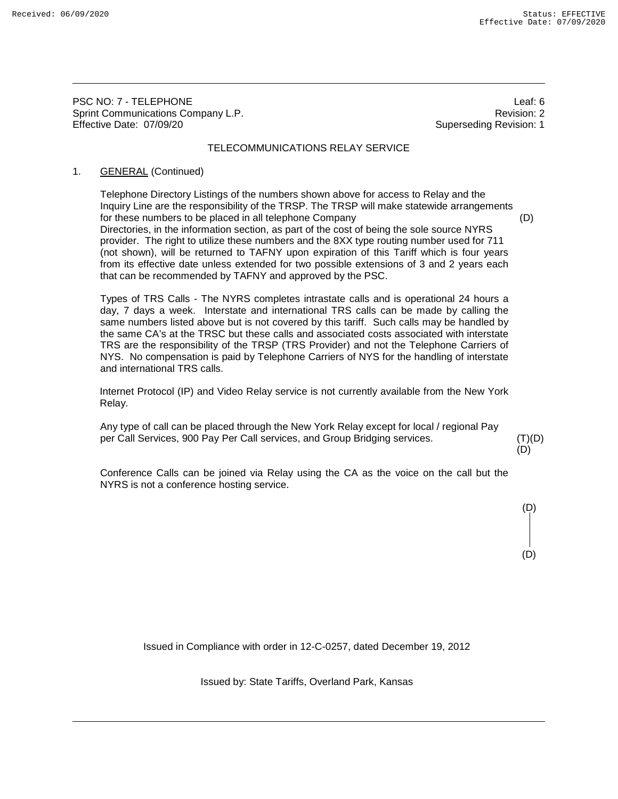PSC NO: 7 - TELEPHONE Leaf: 6<br>
Sorint Communications Company L.P. 
Sorint Communications Company L.P. Sprint Communications Company L.P. Effective Date: 07/09/20 **Superseding Revision: 1** Superseding Revision: 1

## TELECOMMUNICATIONS RELAY SERVICE

### 1. GENERAL (Continued)

Telephone Directory Listings of the numbers shown above for access to Relay and the Inquiry Line are the responsibility of the TRSP. The TRSP will make statewide arrangements for these numbers to be placed in all telephone Company (D) Directories, in the information section, as part of the cost of being the sole source NYRS provider. The right to utilize these numbers and the 8XX type routing number used for 711 (not shown), will be returned to TAFNY upon expiration of this Tariff which is four years from its effective date unless extended for two possible extensions of 3 and 2 years each that can be recommended by TAFNY and approved by the PSC.

Types of TRS Calls - The NYRS completes intrastate calls and is operational 24 hours a day, 7 days a week. Interstate and international TRS calls can be made by calling the same numbers listed above but is not covered by this tariff. Such calls may be handled by the same CA's at the TRSC but these calls and associated costs associated with interstate TRS are the responsibility of the TRSP (TRS Provider) and not the Telephone Carriers of NYS. No compensation is paid by Telephone Carriers of NYS for the handling of interstate and international TRS calls.

Internet Protocol (IP) and Video Relay service is not currently available from the New York Relay.

Any type of call can be placed through the New York Relay except for local / regional Pay per Call Services, 900 Pay Per Call services, and Group Bridging services. (T)(D)

(D)

(D)

Conference Calls can be joined via Relay using the CA as the voice on the call but the NYRS is not a conference hosting service.

(D)

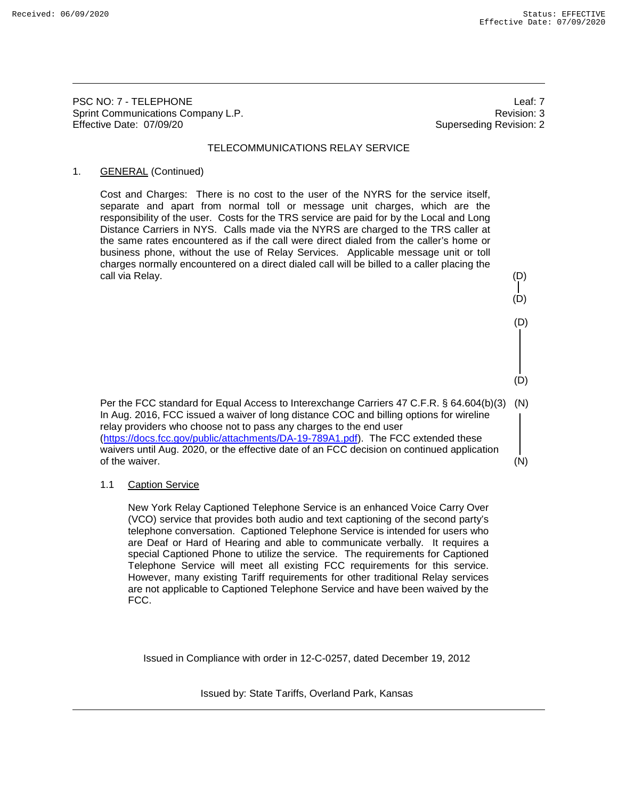PSC NO: 7 - TELEPHONE Leaf: 7<br>
Sorint Communications Company L P<br>
Sorint Communications Company L P Sprint Communications Company L.P. Effective Date: 07/09/20 **Superseding Revision: 2** Superseding Revision: 2

## TELECOMMUNICATIONS RELAY SERVICE

### 1. GENERAL (Continued)

Cost and Charges: There is no cost to the user of the NYRS for the service itself, separate and apart from normal toll or message unit charges, which are the responsibility of the user. Costs for the TRS service are paid for by the Local and Long Distance Carriers in NYS. Calls made via the NYRS are charged to the TRS caller at the same rates encountered as if the call were direct dialed from the caller's home or business phone, without the use of Relay Services. Applicable message unit or toll charges normally encountered on a direct dialed call will be billed to a caller placing the call via Relay. (D)

(D) (D)

(D)

Per the FCC standard for Equal Access to Interexchange Carriers 47 C.F.R. § 64.604(b)(3) (N) In Aug. 2016, FCC issued a waiver of long distance COC and billing options for wireline relay providers who choose not to pass any charges to the end user (https://docs.fcc.gov/public/attachments/DA-19-789A1.pdf). The FCC extended these waivers until Aug. 2020, or the effective date of an FCC decision on continued application of the waiver. (N)

1.1 Caption Service

New York Relay Captioned Telephone Service is an enhanced Voice Carry Over (VCO) service that provides both audio and text captioning of the second party's telephone conversation. Captioned Telephone Service is intended for users who are Deaf or Hard of Hearing and able to communicate verbally. It requires a special Captioned Phone to utilize the service. The requirements for Captioned Telephone Service will meet all existing FCC requirements for this service. However, many existing Tariff requirements for other traditional Relay services are not applicable to Captioned Telephone Service and have been waived by the FCC.

Issued in Compliance with order in 12-C-0257, dated December 19, 2012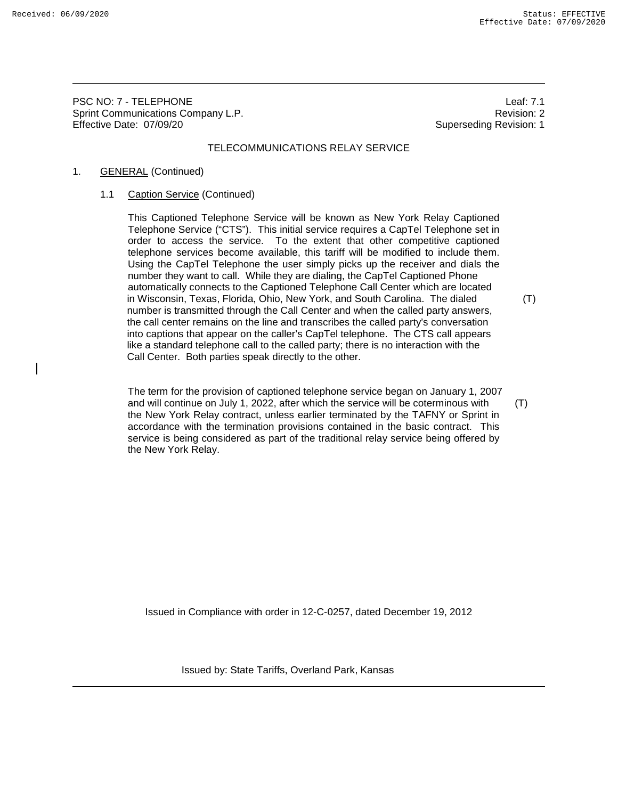PSC NO: 7 - TELEPHONE Leaf: 7.1<br>
Sorint Communications Company L.P. 
Sorint Communications Company L.P. Sprint Communications Company L.P. Effective Date: 07/09/20 **Superseding Revision: 1** Superseding Revision: 1

## TELECOMMUNICATIONS RELAY SERVICE

### 1. GENERAL (Continued)

### 1.1 Caption Service (Continued)

This Captioned Telephone Service will be known as New York Relay Captioned Telephone Service ("CTS"). This initial service requires a CapTel Telephone set in order to access the service. To the extent that other competitive captioned telephone services become available, this tariff will be modified to include them. Using the CapTel Telephone the user simply picks up the receiver and dials the number they want to call. While they are dialing, the CapTel Captioned Phone automatically connects to the Captioned Telephone Call Center which are located in Wisconsin, Texas, Florida, Ohio, New York, and South Carolina. The dialed (T) number is transmitted through the Call Center and when the called party answers, the call center remains on the line and transcribes the called party's conversation into captions that appear on the caller's CapTel telephone. The CTS call appears like a standard telephone call to the called party; there is no interaction with the Call Center. Both parties speak directly to the other.

The term for the provision of captioned telephone service began on January 1, 2007 and will continue on July 1, 2022, after which the service will be coterminous with (T) the New York Relay contract, unless earlier terminated by the TAFNY or Sprint in accordance with the termination provisions contained in the basic contract. This service is being considered as part of the traditional relay service being offered by the New York Relay.

Issued in Compliance with order in 12-C-0257, dated December 19, 2012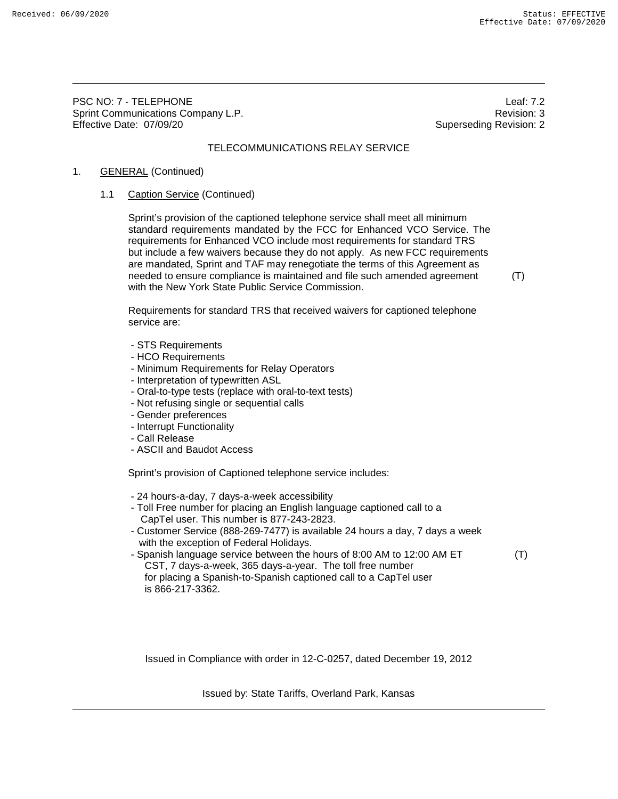PSC NO: 7 - TELEPHONE Leaf: 7.2<br>
Sorint Communications Company L P<br>
Sorint Communications Company L P Sprint Communications Company L.P. Effective Date: 07/09/20 **Superseding Revision: 2** Superseding Revision: 2

# TELECOMMUNICATIONS RELAY SERVICE

## 1. GENERAL (Continued)

### 1.1 Caption Service (Continued)

Sprint's provision of the captioned telephone service shall meet all minimum standard requirements mandated by the FCC for Enhanced VCO Service. The requirements for Enhanced VCO include most requirements for standard TRS but include a few waivers because they do not apply. As new FCC requirements are mandated, Sprint and TAF may renegotiate the terms of this Agreement as needed to ensure compliance is maintained and file such amended agreement (T) with the New York State Public Service Commission.

Requirements for standard TRS that received waivers for captioned telephone service are:

- STS Requirements
- HCO Requirements
- Minimum Requirements for Relay Operators
- Interpretation of typewritten ASL
- Oral-to-type tests (replace with oral-to-text tests)
- Not refusing single or sequential calls
- Gender preferences
- Interrupt Functionality
- Call Release
- ASCII and Baudot Access

Sprint's provision of Captioned telephone service includes:

- 24 hours-a-day, 7 days-a-week accessibility
- Toll Free number for placing an English language captioned call to a CapTel user. This number is 877-243-2823.
- Customer Service (888-269-7477) is available 24 hours a day, 7 days a week with the exception of Federal Holidays.
- Spanish language service between the hours of 8:00 AM to 12:00 AM ET (T) CST, 7 days-a-week, 365 days-a-year. The toll free number for placing a Spanish-to-Spanish captioned call to a CapTel user is 866-217-3362.

Issued in Compliance with order in 12-C-0257, dated December 19, 2012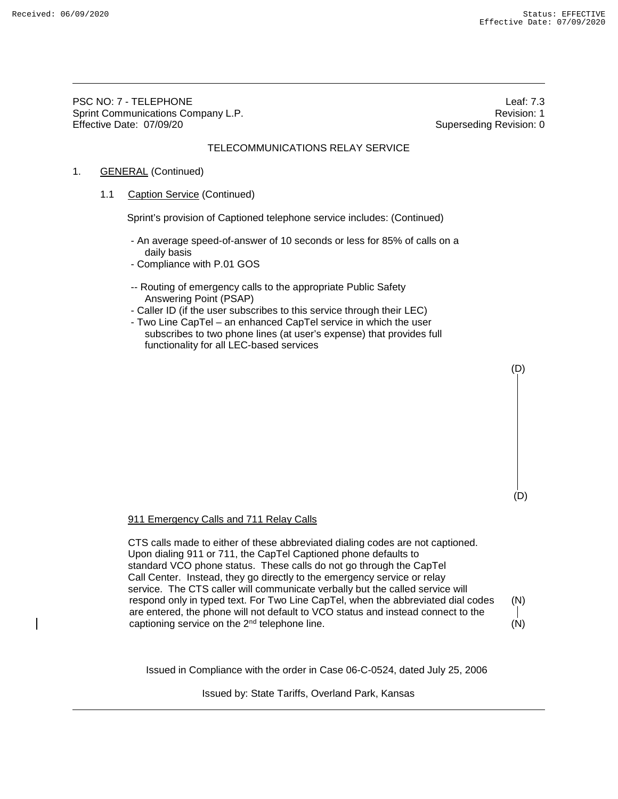PSC NO: 7 - TELEPHONE Leaf: 7.3<br>
Sorint Communications Company L.P. 
Sorint Communications Company L.P. Sprint Communications Company L.P. Effective Date: 07/09/20 **Superseding Revision: 0** Superseding Revision: 0

(D)

(D)

# TELECOMMUNICATIONS RELAY SERVICE

## 1. GENERAL (Continued)

### 1.1 Caption Service (Continued)

Sprint's provision of Captioned telephone service includes: (Continued)

- An average speed-of-answer of 10 seconds or less for 85% of calls on a daily basis
- Compliance with P.01 GOS
- -- Routing of emergency calls to the appropriate Public Safety Answering Point (PSAP)
- Caller ID (if the user subscribes to this service through their LEC)
- Two Line CapTel an enhanced CapTel service in which the user subscribes to two phone lines (at user's expense) that provides full functionality for all LEC-based services

#### 911 Emergency Calls and 711 Relay Calls

CTS calls made to either of these abbreviated dialing codes are not captioned. Upon dialing 911 or 711, the CapTel Captioned phone defaults to standard VCO phone status. These calls do not go through the CapTel Call Center. Instead, they go directly to the emergency service or relay service. The CTS caller will communicate verbally but the called service will respond only in typed text. For Two Line CapTel, when the abbreviated dial codes (N) are entered, the phone will not default to VCO status and instead connect to the captioning service on the  $2^{nd}$  telephone line.  $(N)$ 

Issued in Compliance with the order in Case 06-C-0524, dated July 25, 2006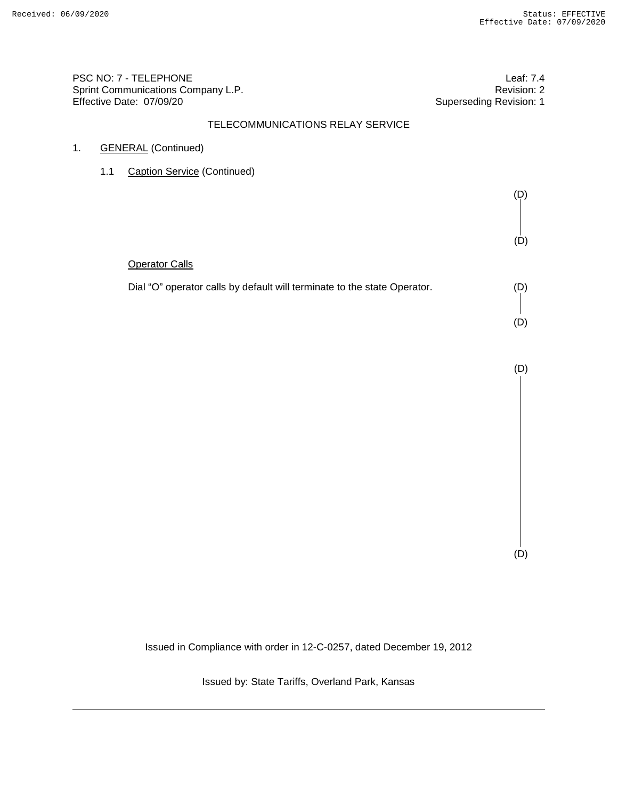PSC NO: 7 - TELEPHONE Leaf: 7.4<br>
Sprint Communications Company L.P. Sprint Communications Company L.P. Sprint Communications Company L.P. Revision: 2 Effective Date: 07/09/20 Superseding Revision: 1

**Operator Calls** 

# TELECOMMUNICATIONS RELAY SERVICE

# 1. GENERAL (Continued)

1.1 Caption Service (Continued)

(D) (D)

| Dial "O" operator calls by default will terminate to the state Operator. | (D) |
|--------------------------------------------------------------------------|-----|
|                                                                          | (D) |

(D)

(D)

Issued in Compliance with order in 12-C-0257, dated December 19, 2012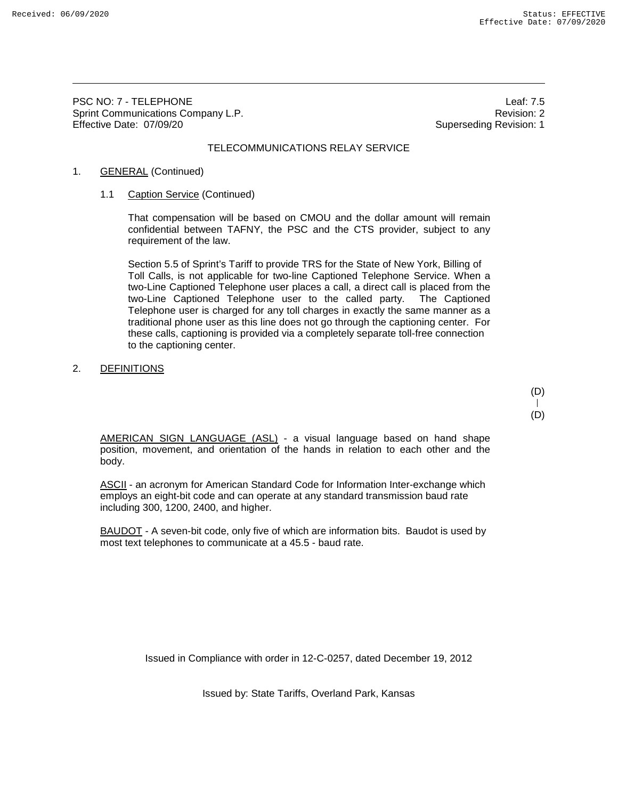(D)

(D)

PSC NO: 7 - TELEPHONE Leaf: 7.5<br>
Sorint Communications Company L.P. 
Sorint Communications Company L.P. Sprint Communications Company L.P. Effective Date: 07/09/20 **Superseding Revision: 1** Superseding Revision: 1

## TELECOMMUNICATIONS RELAY SERVICE

### 1. GENERAL (Continued)

### 1.1 Caption Service (Continued)

That compensation will be based on CMOU and the dollar amount will remain confidential between TAFNY, the PSC and the CTS provider, subject to any requirement of the law.

Section 5.5 of Sprint's Tariff to provide TRS for the State of New York, Billing of Toll Calls, is not applicable for two-line Captioned Telephone Service. When a two-Line Captioned Telephone user places a call, a direct call is placed from the two-Line Captioned Telephone user to the called party. The Captioned Telephone user is charged for any toll charges in exactly the same manner as a traditional phone user as this line does not go through the captioning center. For these calls, captioning is provided via a completely separate toll-free connection to the captioning center.

### 2. DEFINITIONS

AMERICAN SIGN LANGUAGE (ASL) - a visual language based on hand shape position, movement, and orientation of the hands in relation to each other and the body.

ASCII - an acronym for American Standard Code for Information Inter-exchange which employs an eight-bit code and can operate at any standard transmission baud rate including 300, 1200, 2400, and higher.

BAUDOT - A seven-bit code, only five of which are information bits. Baudot is used by most text telephones to communicate at a 45.5 - baud rate.

Issued in Compliance with order in 12-C-0257, dated December 19, 2012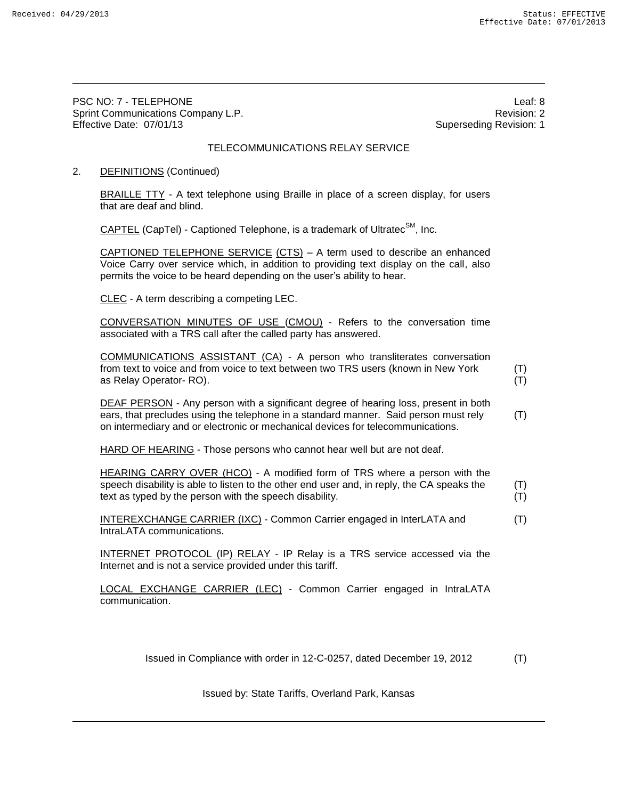PSC NO: 7 - TELEPHONE Leaf: 8 Sprint Communications Company L.P. **Revision: 2** and the state of the state of the state of the state of the state of the state of the state of the state of the state of the state of the state of the state of the state of Effective Date: 07/01/13 **Superseding Revision: 1** 

## TELECOMMUNICATIONS RELAY SERVICE

### 2. DEFINITIONS (Continued)

BRAILLE TTY - A text telephone using Braille in place of a screen display, for users that are deaf and blind.

CAPTEL (CapTel) - Captioned Telephone, is a trademark of Ultratec<sup>SM</sup>, Inc.

CAPTIONED TELEPHONE SERVICE (CTS) – A term used to describe an enhanced Voice Carry over service which, in addition to providing text display on the call, also permits the voice to be heard depending on the user's ability to hear.

CLEC - A term describing a competing LEC.

CONVERSATION MINUTES OF USE (CMOU) - Refers to the conversation time associated with a TRS call after the called party has answered.

COMMUNICATIONS ASSISTANT (CA) - A person who transliterates conversation from text to voice and from voice to text between two TRS users (known in New York (T)<br>as Relav Operator- RO). as Relay Operator- RO).

DEAF PERSON - Any person with a significant degree of hearing loss, present in both ears, that precludes using the telephone in a standard manner. Said person must rely  $(T)$ on intermediary and or electronic or mechanical devices for telecommunications.

HARD OF HEARING - Those persons who cannot hear well but are not deaf.

HEARING CARRY OVER (HCO) - A modified form of TRS where a person with the speech disability is able to listen to the other end user and, in reply, the CA speaks the  $(T)$ text as typed by the person with the speech disability. (T)

INTEREXCHANGE CARRIER (IXC) - Common Carrier engaged in InterLATA and (T) Intral ATA communications.

INTERNET PROTOCOL (IP) RELAY - IP Relay is a TRS service accessed via the Internet and is not a service provided under this tariff.

LOCAL EXCHANGE CARRIER (LEC) - Common Carrier engaged in IntraLATA communication.

Issued in Compliance with order in 12-C-0257, dated December 19, 2012 (T)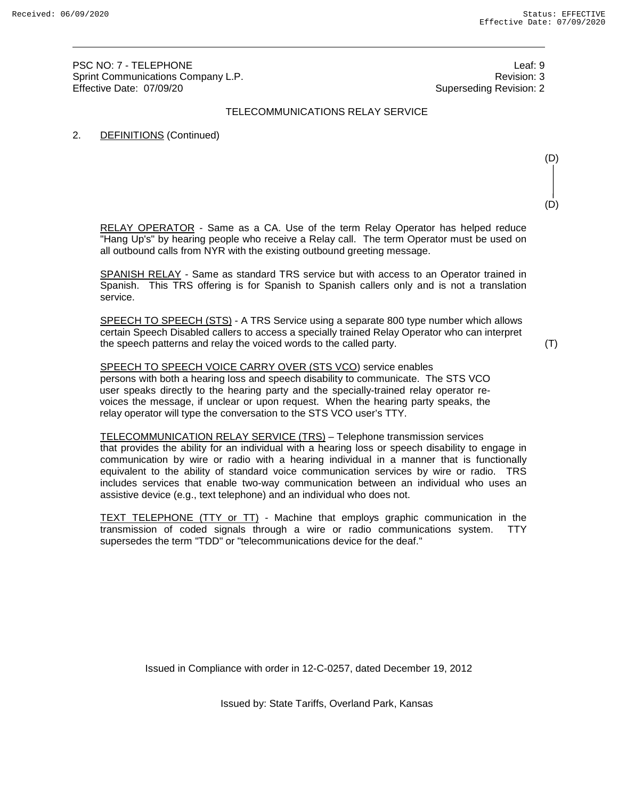PSC NO: 7 - TELEPHONE Leaf: 9 Sprint Communications Company L.P. Effective Date: 07/09/20 **Superseding Revision: 2** Superseding Revision: 2

### TELECOMMUNICATIONS RELAY SERVICE

#### 2. DEFINITIONS (Continued)

RELAY OPERATOR - Same as a CA. Use of the term Relay Operator has helped reduce "Hang Up's" by hearing people who receive a Relay call. The term Operator must be used on all outbound calls from NYR with the existing outbound greeting message.

SPANISH RELAY - Same as standard TRS service but with access to an Operator trained in Spanish. This TRS offering is for Spanish to Spanish callers only and is not a translation service.

SPEECH TO SPEECH (STS) - A TRS Service using a separate 800 type number which allows certain Speech Disabled callers to access a specially trained Relay Operator who can interpret the speech patterns and relay the voiced words to the called party. (T)

(D)

(D)

SPEECH TO SPEECH VOICE CARRY OVER (STS VCO) service enables persons with both a hearing loss and speech disability to communicate. The STS VCO user speaks directly to the hearing party and the specially-trained relay operator revoices the message, if unclear or upon request. When the hearing party speaks, the relay operator will type the conversation to the STS VCO user's TTY.

TELECOMMUNICATION RELAY SERVICE (TRS) – Telephone transmission services that provides the ability for an individual with a hearing loss or speech disability to engage in communication by wire or radio with a hearing individual in a manner that is functionally equivalent to the ability of standard voice communication services by wire or radio. TRS includes services that enable two-way communication between an individual who uses an assistive device (e.g., text telephone) and an individual who does not.

TEXT TELEPHONE (TTY or TT) - Machine that employs graphic communication in the transmission of coded signals through a wire or radio communications system. TTY supersedes the term "TDD" or "telecommunications device for the deaf."

Issued in Compliance with order in 12-C-0257, dated December 19, 2012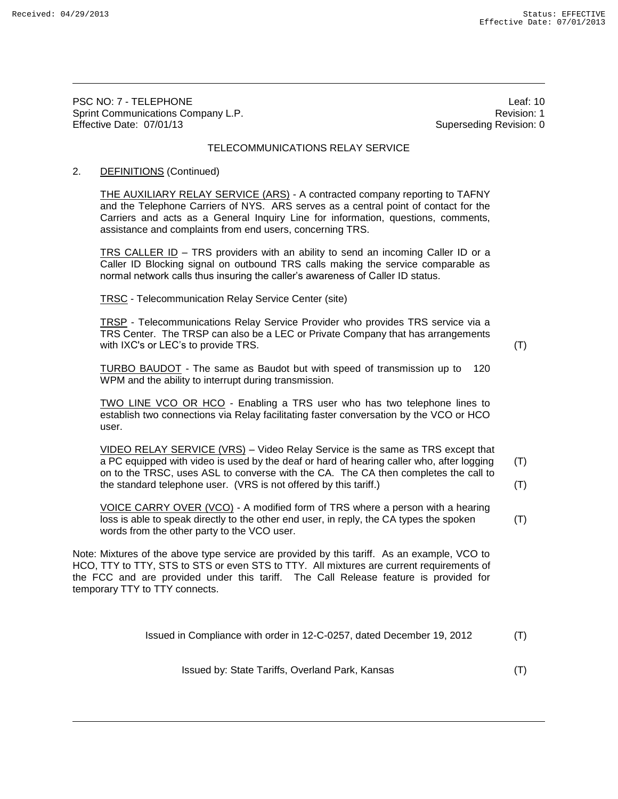PSC NO: 7 - TELEPHONE Leaf: 10 Sprint Communications Company L.P. **Revision: 1** According to the series of the series of the series of the series of the series of the series of the series of the series of the series of the series of the series of the se Effective Date: 07/01/13 Superseding Revision: 0

## TELECOMMUNICATIONS RELAY SERVICE

### 2. DEFINITIONS (Continued)

THE AUXILIARY RELAY SERVICE (ARS) - A contracted company reporting to TAFNY and the Telephone Carriers of NYS. ARS serves as a central point of contact for the Carriers and acts as a General Inquiry Line for information, questions, comments, assistance and complaints from end users, concerning TRS.

TRS CALLER ID – TRS providers with an ability to send an incoming Caller ID or a Caller ID Blocking signal on outbound TRS calls making the service comparable as normal network calls thus insuring the caller's awareness of Caller ID status.

TRSC - Telecommunication Relay Service Center (site)

TRSP - Telecommunications Relay Service Provider who provides TRS service via a TRS Center. The TRSP can also be a LEC or Private Company that has arrangements with IXC's or LEC's to provide TRS. (T)  $(1)$ 

TURBO BAUDOT - The same as Baudot but with speed of transmission up to 120 WPM and the ability to interrupt during transmission.

TWO LINE VCO OR HCO - Enabling a TRS user who has two telephone lines to establish two connections via Relay facilitating faster conversation by the VCO or HCO user.

VIDEO RELAY SERVICE (VRS) – Video Relay Service is the same as TRS except that a PC equipped with video is used by the deaf or hard of hearing caller who, after logging (T) on to the TRSC, uses ASL to converse with the CA. The CA then completes the call to the standard telephone user. (VRS is not offered by this tariff.) (T)

VOICE CARRY OVER (VCO) - A modified form of TRS where a person with a hearing loss is able to speak directly to the other end user, in reply, the CA types the spoken (T) words from the other party to the VCO user.

Note: Mixtures of the above type service are provided by this tariff. As an example, VCO to HCO, TTY to TTY, STS to STS or even STS to TTY. All mixtures are current requirements of the FCC and are provided under this tariff. The Call Release feature is provided for temporary TTY to TTY connects.

Issued in Compliance with order in 12-C-0257, dated December 19, 2012 (T)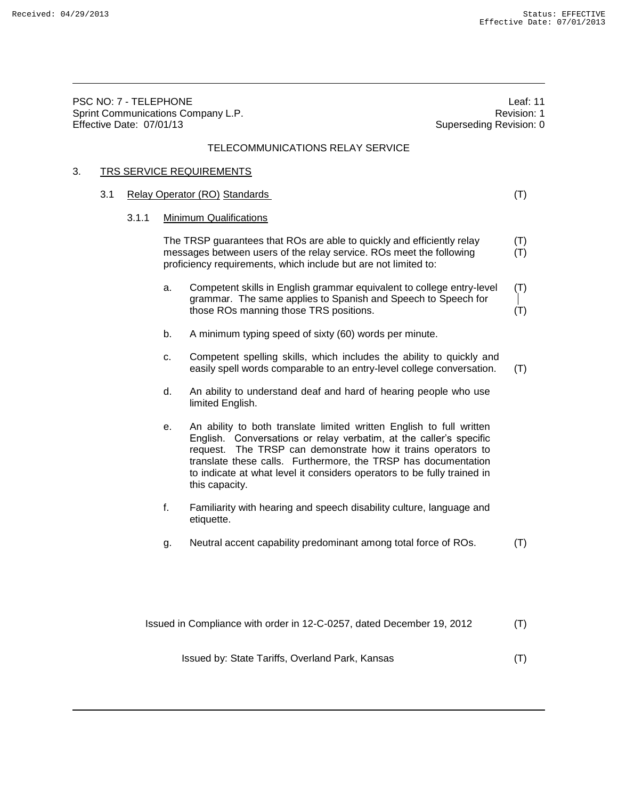|    |     | PSC NO: 7 - TELEPHONE<br>Effective Date: 07/01/13 |    | Sprint Communications Company L.P.                                                                                                                                                                                                                                                                                                                                        | Superseding Revision: 0 | Leaf: 11<br>Revision: 1 |
|----|-----|---------------------------------------------------|----|---------------------------------------------------------------------------------------------------------------------------------------------------------------------------------------------------------------------------------------------------------------------------------------------------------------------------------------------------------------------------|-------------------------|-------------------------|
|    |     |                                                   |    | TELECOMMUNICATIONS RELAY SERVICE                                                                                                                                                                                                                                                                                                                                          |                         |                         |
| 3. |     |                                                   |    | <b>TRS SERVICE REQUIREMENTS</b>                                                                                                                                                                                                                                                                                                                                           |                         |                         |
|    | 3.1 |                                                   |    | <b>Relay Operator (RO) Standards</b>                                                                                                                                                                                                                                                                                                                                      |                         | (T)                     |
|    |     | 3.1.1                                             |    | <b>Minimum Qualifications</b>                                                                                                                                                                                                                                                                                                                                             |                         |                         |
|    |     |                                                   |    | The TRSP guarantees that ROs are able to quickly and efficiently relay<br>messages between users of the relay service. ROs meet the following<br>proficiency requirements, which include but are not limited to:                                                                                                                                                          |                         | (T)<br>(T)              |
|    |     |                                                   | a. | Competent skills in English grammar equivalent to college entry-level<br>grammar. The same applies to Spanish and Speech to Speech for<br>those ROs manning those TRS positions.                                                                                                                                                                                          |                         | (T)<br>(T)              |
|    |     |                                                   | b. | A minimum typing speed of sixty (60) words per minute.                                                                                                                                                                                                                                                                                                                    |                         |                         |
|    |     |                                                   | c. | Competent spelling skills, which includes the ability to quickly and<br>easily spell words comparable to an entry-level college conversation.                                                                                                                                                                                                                             |                         | (T)                     |
|    |     |                                                   | d. | An ability to understand deaf and hard of hearing people who use<br>limited English.                                                                                                                                                                                                                                                                                      |                         |                         |
|    |     |                                                   | е. | An ability to both translate limited written English to full written<br>English. Conversations or relay verbatim, at the caller's specific<br>request. The TRSP can demonstrate how it trains operators to<br>translate these calls. Furthermore, the TRSP has documentation<br>to indicate at what level it considers operators to be fully trained in<br>this capacity. |                         |                         |
|    |     |                                                   | f. | Familiarity with hearing and speech disability culture, language and<br>etiquette.                                                                                                                                                                                                                                                                                        |                         |                         |
|    |     |                                                   |    | Neutral accent capability predominant among total force of ROs.                                                                                                                                                                                                                                                                                                           |                         | (T)                     |
|    |     |                                                   |    |                                                                                                                                                                                                                                                                                                                                                                           |                         |                         |
|    |     |                                                   |    | Issued in Compliance with order in 12-C-0257, dated December 19, 2012                                                                                                                                                                                                                                                                                                     |                         | (T)                     |
|    |     |                                                   |    | Issued by: State Tariffs, Overland Park, Kansas                                                                                                                                                                                                                                                                                                                           |                         | (T)                     |
|    |     |                                                   |    |                                                                                                                                                                                                                                                                                                                                                                           |                         |                         |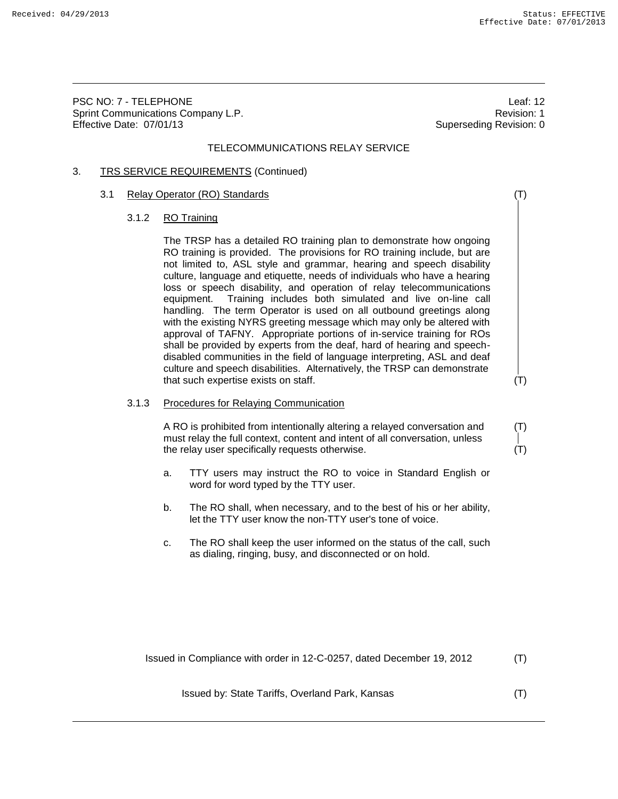PSC NO: 7 - TELEPHONE Leaf: 12 Sprint Communications Company L.P. **Revision: 1** According to the series of the series of the series of the series of the series of the series of the series of the series of the series of the series of the series of the se Effective Date: 07/01/13 Superseding Revision: 0

## TELECOMMUNICATIONS RELAY SERVICE

### 3. TRS SERVICE REQUIREMENTS (Continued)

#### 3.1 Relay Operator (RO) Standards (T)

### 3.1.2 RO Training

The TRSP has a detailed RO training plan to demonstrate how ongoing RO training is provided. The provisions for RO training include, but are not limited to, ASL style and grammar, hearing and speech disability culture, language and etiquette, needs of individuals who have a hearing loss or speech disability, and operation of relay telecommunications equipment. Training includes both simulated and live on-line call handling. The term Operator is used on all outbound greetings along with the existing NYRS greeting message which may only be altered with approval of TAFNY. Appropriate portions of in-service training for ROs shall be provided by experts from the deaf, hard of hearing and speechdisabled communities in the field of language interpreting, ASL and deaf culture and speech disabilities. Alternatively, the TRSP can demonstrate that such expertise exists on staff. (T)

### 3.1.3 Procedures for Relaying Communication

A RO is prohibited from intentionally altering a relayed conversation and (T) must relay the full context, content and intent of all conversation, unless the relay user specifically requests otherwise. (T)

- a. TTY users may instruct the RO to voice in Standard English or word for word typed by the TTY user.
- b. The RO shall, when necessary, and to the best of his or her ability, let the TTY user know the non-TTY user's tone of voice.
- c. The RO shall keep the user informed on the status of the call, such as dialing, ringing, busy, and disconnected or on hold.

Issued in Compliance with order in 12-C-0257, dated December 19, 2012 (T)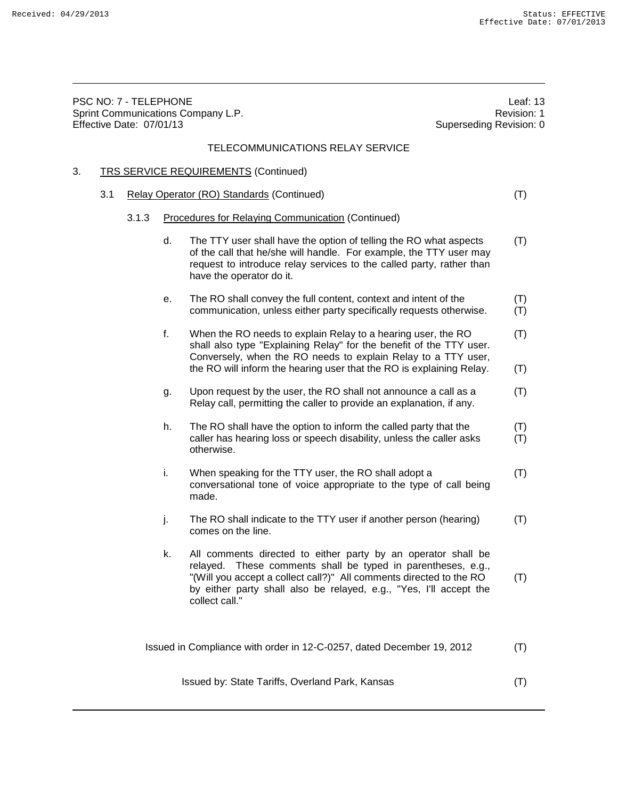|    | PSC NO: 7 - TELEPHONE<br>Sprint Communications Company L.P.<br>Effective Date: 07/01/13<br>Superseding Revision: 0 |       |    |                                                                                                                                                                                                                                                                                              |  | Leaf: 13<br>Revision: 1 |
|----|--------------------------------------------------------------------------------------------------------------------|-------|----|----------------------------------------------------------------------------------------------------------------------------------------------------------------------------------------------------------------------------------------------------------------------------------------------|--|-------------------------|
|    |                                                                                                                    |       |    | TELECOMMUNICATIONS RELAY SERVICE                                                                                                                                                                                                                                                             |  |                         |
| 3. |                                                                                                                    |       |    | <b>TRS SERVICE REQUIREMENTS (Continued)</b>                                                                                                                                                                                                                                                  |  |                         |
|    | 3.1                                                                                                                |       |    | Relay Operator (RO) Standards (Continued)                                                                                                                                                                                                                                                    |  | (T)                     |
|    |                                                                                                                    | 3.1.3 |    | <b>Procedures for Relaying Communication (Continued)</b>                                                                                                                                                                                                                                     |  |                         |
|    |                                                                                                                    |       | d. | The TTY user shall have the option of telling the RO what aspects<br>of the call that he/she will handle. For example, the TTY user may<br>request to introduce relay services to the called party, rather than<br>have the operator do it.                                                  |  | (T)                     |
|    |                                                                                                                    |       | е. | The RO shall convey the full content, context and intent of the<br>communication, unless either party specifically requests otherwise.                                                                                                                                                       |  | (T)<br>(T)              |
|    |                                                                                                                    |       | f. | When the RO needs to explain Relay to a hearing user, the RO<br>shall also type "Explaining Relay" for the benefit of the TTY user.<br>Conversely, when the RO needs to explain Relay to a TTY user,                                                                                         |  | (T)                     |
|    |                                                                                                                    |       |    | the RO will inform the hearing user that the RO is explaining Relay.                                                                                                                                                                                                                         |  | (T)                     |
|    |                                                                                                                    |       | g. | Upon request by the user, the RO shall not announce a call as a<br>Relay call, permitting the caller to provide an explanation, if any.                                                                                                                                                      |  | (T)                     |
|    |                                                                                                                    |       | h. | The RO shall have the option to inform the called party that the<br>caller has hearing loss or speech disability, unless the caller asks<br>otherwise.                                                                                                                                       |  | (T)<br>(T)              |
|    |                                                                                                                    |       | i. | When speaking for the TTY user, the RO shall adopt a<br>conversational tone of voice appropriate to the type of call being<br>made.                                                                                                                                                          |  | (T)                     |
|    |                                                                                                                    |       | j. | The RO shall indicate to the TTY user if another person (hearing)<br>comes on the line.                                                                                                                                                                                                      |  | (T)                     |
|    |                                                                                                                    |       | k. | All comments directed to either party by an operator shall be<br>relayed. These comments shall be typed in parentheses, e.g.,<br>"(Will you accept a collect call?)" All comments directed to the RO<br>by either party shall also be relayed, e.g., "Yes, I'll accept the<br>collect call." |  | (T)                     |
|    |                                                                                                                    |       |    | Issued in Compliance with order in 12-C-0257, dated December 19, 2012                                                                                                                                                                                                                        |  | (T)                     |
|    |                                                                                                                    |       |    | Issued by: State Tariffs, Overland Park, Kansas                                                                                                                                                                                                                                              |  | (T)                     |
|    |                                                                                                                    |       |    |                                                                                                                                                                                                                                                                                              |  |                         |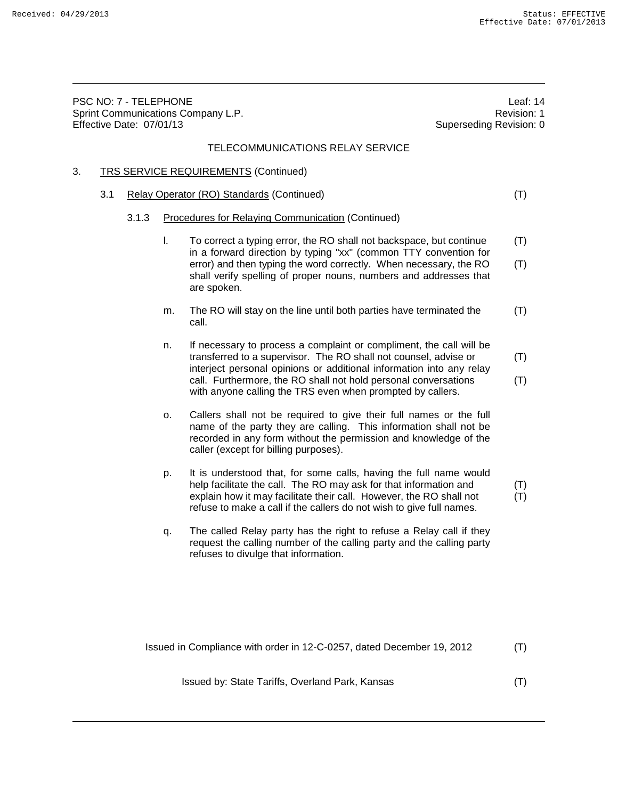|    | PSC NO: 7 - TELEPHONE<br>Sprint Communications Company L.P.<br>Effective Date: 07/01/13<br>Superseding Revision: 0 |       |    |                                                                                                                                                                                                                                                                                                                                                  |  | Leaf: 14<br>Revision: 1 |
|----|--------------------------------------------------------------------------------------------------------------------|-------|----|--------------------------------------------------------------------------------------------------------------------------------------------------------------------------------------------------------------------------------------------------------------------------------------------------------------------------------------------------|--|-------------------------|
|    |                                                                                                                    |       |    | TELECOMMUNICATIONS RELAY SERVICE                                                                                                                                                                                                                                                                                                                 |  |                         |
| 3. |                                                                                                                    |       |    | <b>TRS SERVICE REQUIREMENTS (Continued)</b>                                                                                                                                                                                                                                                                                                      |  |                         |
|    | 3.1                                                                                                                |       |    | Relay Operator (RO) Standards (Continued)                                                                                                                                                                                                                                                                                                        |  | (T)                     |
|    |                                                                                                                    | 3.1.3 |    | <b>Procedures for Relaying Communication (Continued)</b>                                                                                                                                                                                                                                                                                         |  |                         |
|    |                                                                                                                    |       | I. | To correct a typing error, the RO shall not backspace, but continue<br>in a forward direction by typing "xx" (common TTY convention for                                                                                                                                                                                                          |  | (T)                     |
|    |                                                                                                                    |       |    | error) and then typing the word correctly. When necessary, the RO<br>shall verify spelling of proper nouns, numbers and addresses that<br>are spoken.                                                                                                                                                                                            |  | (T)                     |
|    |                                                                                                                    |       | m. | The RO will stay on the line until both parties have terminated the<br>call.                                                                                                                                                                                                                                                                     |  | (T)                     |
|    |                                                                                                                    |       | n. | If necessary to process a complaint or compliment, the call will be<br>transferred to a supervisor. The RO shall not counsel, advise or<br>interject personal opinions or additional information into any relay<br>call. Furthermore, the RO shall not hold personal conversations<br>with anyone calling the TRS even when prompted by callers. |  | (T)<br>(T)              |
|    |                                                                                                                    |       | 0. | Callers shall not be required to give their full names or the full<br>name of the party they are calling. This information shall not be<br>recorded in any form without the permission and knowledge of the<br>caller (except for billing purposes).                                                                                             |  |                         |
|    |                                                                                                                    |       | p. | It is understood that, for some calls, having the full name would<br>help facilitate the call. The RO may ask for that information and<br>explain how it may facilitate their call. However, the RO shall not<br>refuse to make a call if the callers do not wish to give full names.                                                            |  | (T)<br>(T)              |
|    |                                                                                                                    |       | q. | The called Relay party has the right to refuse a Relay call if they<br>request the calling number of the calling party and the calling party<br>refuses to divulge that information.                                                                                                                                                             |  |                         |
|    |                                                                                                                    |       |    |                                                                                                                                                                                                                                                                                                                                                  |  |                         |
|    |                                                                                                                    |       |    |                                                                                                                                                                                                                                                                                                                                                  |  |                         |

Issued in Compliance with order in 12-C-0257, dated December 19, 2012 (T)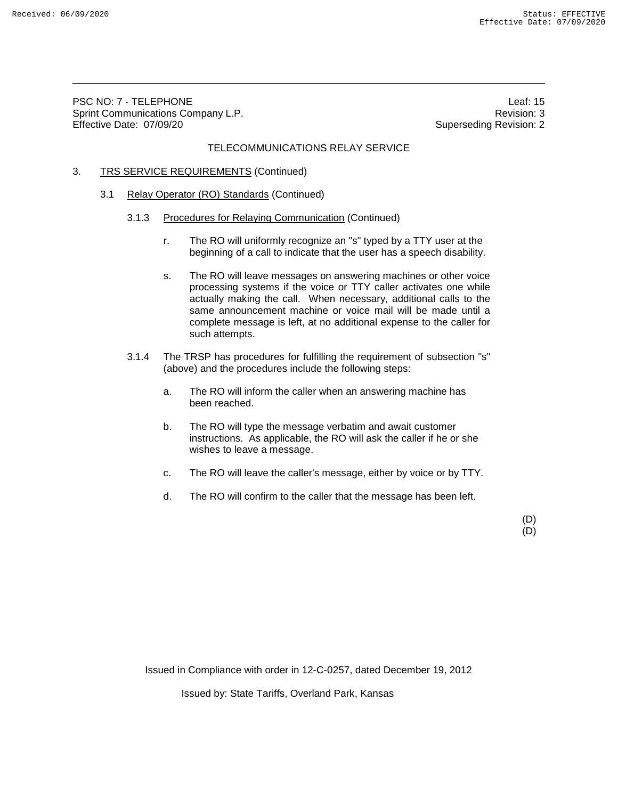PSC NO: 7 - TELEPHONE<br>
Sprint Communications Company L.P.<br>
Sprint Communications Company L.P. Sprint Communications Company L.P. Effective Date: 07/09/20 **Superseding Revision: 2** Superseding Revision: 2

## TELECOMMUNICATIONS RELAY SERVICE

### 3. TRS SERVICE REQUIREMENTS (Continued)

- 3.1 Relay Operator (RO) Standards (Continued)
	- 3.1.3 Procedures for Relaying Communication (Continued)
		- r. The RO will uniformly recognize an "s" typed by a TTY user at the beginning of a call to indicate that the user has a speech disability.
		- s. The RO will leave messages on answering machines or other voice processing systems if the voice or TTY caller activates one while actually making the call. When necessary, additional calls to the same announcement machine or voice mail will be made until a complete message is left, at no additional expense to the caller for such attempts.
	- 3.1.4 The TRSP has procedures for fulfilling the requirement of subsection "s" (above) and the procedures include the following steps:
		- a. The RO will inform the caller when an answering machine has been reached.
		- b. The RO will type the message verbatim and await customer instructions. As applicable, the RO will ask the caller if he or she wishes to leave a message.
		- c. The RO will leave the caller's message, either by voice or by TTY.
		- d. The RO will confirm to the caller that the message has been left.

 (D) (D)

Issued in Compliance with order in 12-C-0257, dated December 19, 2012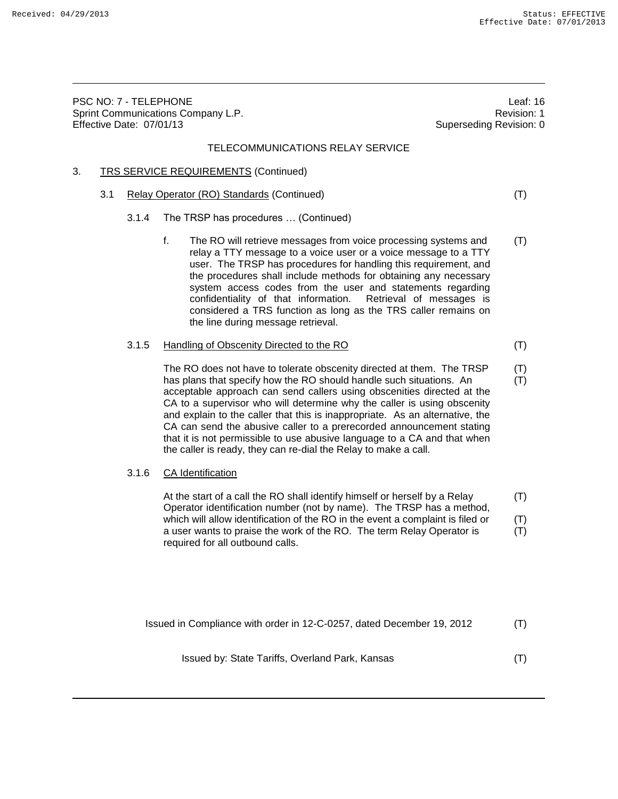|     | PSC NO: 7 - TELEPHONE<br>Effective Date: 07/01/13 | Sprint Communications Company L.P.                                                                                                                                                                                                                                                                                                                                                                                                                                                                                                                                                                       | Superseding Revision: 0 | Leaf: $16$<br>Revision: 1 |  |  |
|-----|---------------------------------------------------|----------------------------------------------------------------------------------------------------------------------------------------------------------------------------------------------------------------------------------------------------------------------------------------------------------------------------------------------------------------------------------------------------------------------------------------------------------------------------------------------------------------------------------------------------------------------------------------------------------|-------------------------|---------------------------|--|--|
|     | TELECOMMUNICATIONS RELAY SERVICE                  |                                                                                                                                                                                                                                                                                                                                                                                                                                                                                                                                                                                                          |                         |                           |  |  |
|     |                                                   | <b>TRS SERVICE REQUIREMENTS (Continued)</b>                                                                                                                                                                                                                                                                                                                                                                                                                                                                                                                                                              |                         |                           |  |  |
| 3.1 | Relay Operator (RO) Standards (Continued)         |                                                                                                                                                                                                                                                                                                                                                                                                                                                                                                                                                                                                          |                         | (T)                       |  |  |
|     | 3.1.4                                             | The TRSP has procedures  (Continued)                                                                                                                                                                                                                                                                                                                                                                                                                                                                                                                                                                     |                         |                           |  |  |
|     |                                                   | f.<br>The RO will retrieve messages from voice processing systems and<br>relay a TTY message to a voice user or a voice message to a TTY<br>user. The TRSP has procedures for handling this requirement, and<br>the procedures shall include methods for obtaining any necessary<br>system access codes from the user and statements regarding<br>confidentiality of that information. Retrieval of messages is<br>considered a TRS function as long as the TRS caller remains on<br>the line during message retrieval.                                                                                  |                         | (T)                       |  |  |
|     | 3.1.5                                             | Handling of Obscenity Directed to the RO                                                                                                                                                                                                                                                                                                                                                                                                                                                                                                                                                                 |                         | (T)                       |  |  |
|     |                                                   | The RO does not have to tolerate obscenity directed at them. The TRSP<br>has plans that specify how the RO should handle such situations. An<br>acceptable approach can send callers using obscenities directed at the<br>CA to a supervisor who will determine why the caller is using obscenity<br>and explain to the caller that this is inappropriate. As an alternative, the<br>CA can send the abusive caller to a prerecorded announcement stating<br>that it is not permissible to use abusive language to a CA and that when<br>the caller is ready, they can re-dial the Relay to make a call. |                         | (T)<br>(T)                |  |  |
|     | 3.1.6                                             | CA Identification                                                                                                                                                                                                                                                                                                                                                                                                                                                                                                                                                                                        |                         |                           |  |  |
|     |                                                   | At the start of a call the RO shall identify himself or herself by a Relay<br>Operator identification number (not by name). The TRSP has a method,<br>which will allow identification of the RO in the event a complaint is filed or<br>a user wants to praise the work of the RO. The term Relay Operator is<br>required for all outbound calls.                                                                                                                                                                                                                                                        |                         | (T)<br>(T)<br>(T)         |  |  |
|     |                                                   | Issued in Compliance with order in 12-C-0257, dated December 19, 2012                                                                                                                                                                                                                                                                                                                                                                                                                                                                                                                                    |                         | (T)                       |  |  |
|     |                                                   | Issued by: State Tariffs, Overland Park, Kansas                                                                                                                                                                                                                                                                                                                                                                                                                                                                                                                                                          |                         | (T)                       |  |  |
|     |                                                   |                                                                                                                                                                                                                                                                                                                                                                                                                                                                                                                                                                                                          |                         |                           |  |  |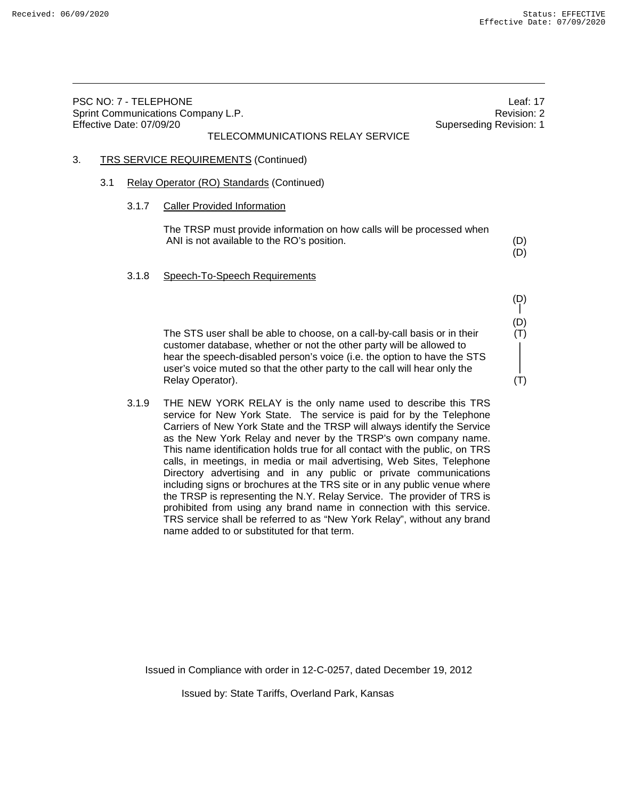|    |     | Effective Date: 07/09/20                    | PSC NO: 7 - TELEPHONE<br>Sprint Communications Company L.P.<br>Superseding Revision: 1                                                                                                                                                                                                                                                                                                                                                                                                                                                                                                          | Leaf: 17<br>Revision: 2 |
|----|-----|---------------------------------------------|-------------------------------------------------------------------------------------------------------------------------------------------------------------------------------------------------------------------------------------------------------------------------------------------------------------------------------------------------------------------------------------------------------------------------------------------------------------------------------------------------------------------------------------------------------------------------------------------------|-------------------------|
|    |     |                                             | TELECOMMUNICATIONS RELAY SERVICE                                                                                                                                                                                                                                                                                                                                                                                                                                                                                                                                                                |                         |
| 3. |     | <b>TRS SERVICE REQUIREMENTS (Continued)</b> |                                                                                                                                                                                                                                                                                                                                                                                                                                                                                                                                                                                                 |                         |
|    | 3.1 |                                             | Relay Operator (RO) Standards (Continued)                                                                                                                                                                                                                                                                                                                                                                                                                                                                                                                                                       |                         |
|    |     | 3.1.7                                       | <b>Caller Provided Information</b>                                                                                                                                                                                                                                                                                                                                                                                                                                                                                                                                                              |                         |
|    |     |                                             | The TRSP must provide information on how calls will be processed when<br>ANI is not available to the RO's position.                                                                                                                                                                                                                                                                                                                                                                                                                                                                             | (D)<br>(D)              |
|    |     | 3.1.8                                       | Speech-To-Speech Requirements                                                                                                                                                                                                                                                                                                                                                                                                                                                                                                                                                                   |                         |
|    |     |                                             |                                                                                                                                                                                                                                                                                                                                                                                                                                                                                                                                                                                                 | (D)                     |
|    |     |                                             | The STS user shall be able to choose, on a call-by-call basis or in their<br>customer database, whether or not the other party will be allowed to<br>hear the speech-disabled person's voice (i.e. the option to have the STS<br>user's voice muted so that the other party to the call will hear only the<br>Relay Operator).                                                                                                                                                                                                                                                                  | (D)<br>(T)<br>(T)       |
|    |     | 3.1.9                                       | THE NEW YORK RELAY is the only name used to describe this TRS<br>service for New York State. The service is paid for by the Telephone<br>Carriers of New York State and the TRSP will always identify the Service<br>as the New York Relay and never by the TRSP's own company name.<br>This name identification holds true for all contact with the public, on TRS<br>calls, in meetings, in media or mail advertising, Web Sites, Telephone<br>Directory advertising and in any public or private communications<br>including signs or brochures at the TRS site or in any public venue where |                         |

Issued in Compliance with order in 12-C-0257, dated December 19, 2012

the TRSP is representing the N.Y. Relay Service. The provider of TRS is prohibited from using any brand name in connection with this service. TRS service shall be referred to as "New York Relay", without any brand

Issued by: State Tariffs, Overland Park, Kansas

name added to or substituted for that term.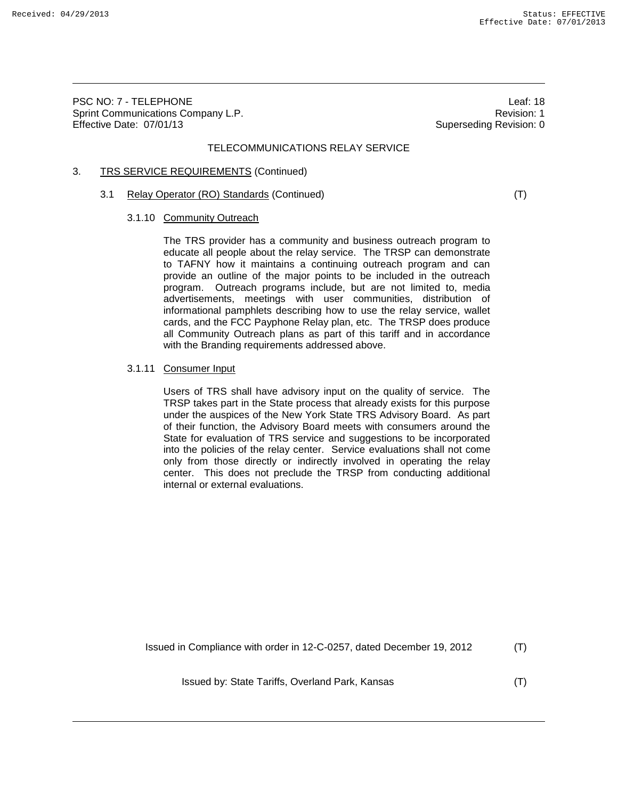PSC NO: 7 - TELEPHONE Leaf: 18 Sprint Communications Company L.P. **Revision: 1** According to the series of the series of the series of the series of the series of the series of the series of the series of the series of the series of the series of the se Effective Date: 07/01/13 Superseding Revision: 0

### TELECOMMUNICATIONS RELAY SERVICE

## 3. TRS SERVICE REQUIREMENTS (Continued)

### 3.1 Relay Operator (RO) Standards (Continued) (T) (T)

## 3.1.10 Community Outreach

The TRS provider has a community and business outreach program to educate all people about the relay service. The TRSP can demonstrate to TAFNY how it maintains a continuing outreach program and can provide an outline of the major points to be included in the outreach program. Outreach programs include, but are not limited to, media advertisements, meetings with user communities, distribution of informational pamphlets describing how to use the relay service, wallet cards, and the FCC Payphone Relay plan, etc. The TRSP does produce all Community Outreach plans as part of this tariff and in accordance with the Branding requirements addressed above.

### 3.1.11 Consumer Input

Users of TRS shall have advisory input on the quality of service. The TRSP takes part in the State process that already exists for this purpose under the auspices of the New York State TRS Advisory Board. As part of their function, the Advisory Board meets with consumers around the State for evaluation of TRS service and suggestions to be incorporated into the policies of the relay center. Service evaluations shall not come only from those directly or indirectly involved in operating the relay center. This does not preclude the TRSP from conducting additional internal or external evaluations.

Issued in Compliance with order in 12-C-0257, dated December 19, 2012 (T)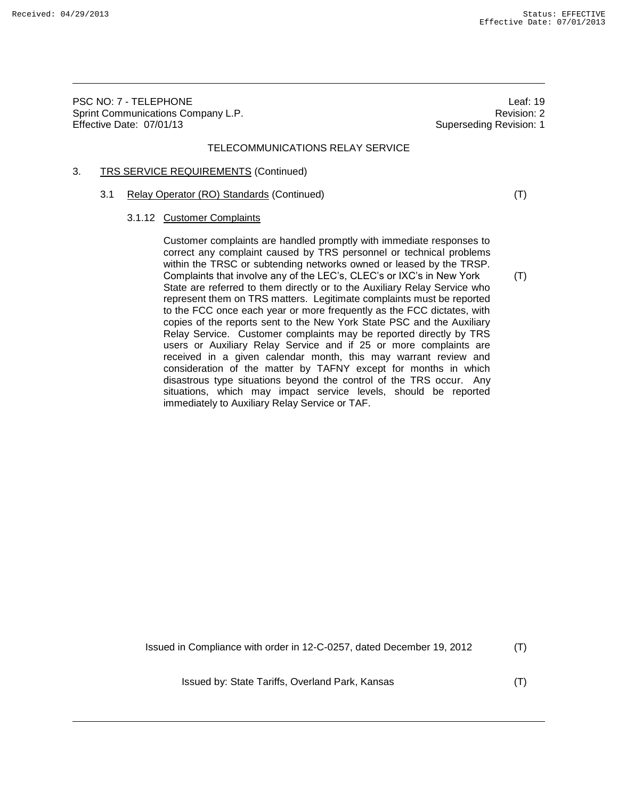PSC NO: 7 - TELEPHONE Leaf: 19 Sprint Communications Company L.P. **Revision: 2** and the state of the state of the state of the state of the state of the state of the state of the state of the state of the state of the state of the state of the state of Effective Date: 07/01/13 **Superseding Revision: 1** Superseding Revision: 1

### TELECOMMUNICATIONS RELAY SERVICE

## 3. TRS SERVICE REQUIREMENTS (Continued)

### 3.1 Relay Operator (RO) Standards (Continued) (T) (T)

## 3.1.12 Customer Complaints

Customer complaints are handled promptly with immediate responses to correct any complaint caused by TRS personnel or technical problems within the TRSC or subtending networks owned or leased by the TRSP. Complaints that involve any of the LEC's, CLEC's or IXC's in New York (T) State are referred to them directly or to the Auxiliary Relay Service who represent them on TRS matters. Legitimate complaints must be reported to the FCC once each year or more frequently as the FCC dictates, with copies of the reports sent to the New York State PSC and the Auxiliary Relay Service. Customer complaints may be reported directly by TRS users or Auxiliary Relay Service and if 25 or more complaints are received in a given calendar month, this may warrant review and consideration of the matter by TAFNY except for months in which disastrous type situations beyond the control of the TRS occur. Any situations, which may impact service levels, should be reported immediately to Auxiliary Relay Service or TAF.

Issued in Compliance with order in 12-C-0257, dated December 19, 2012 (T)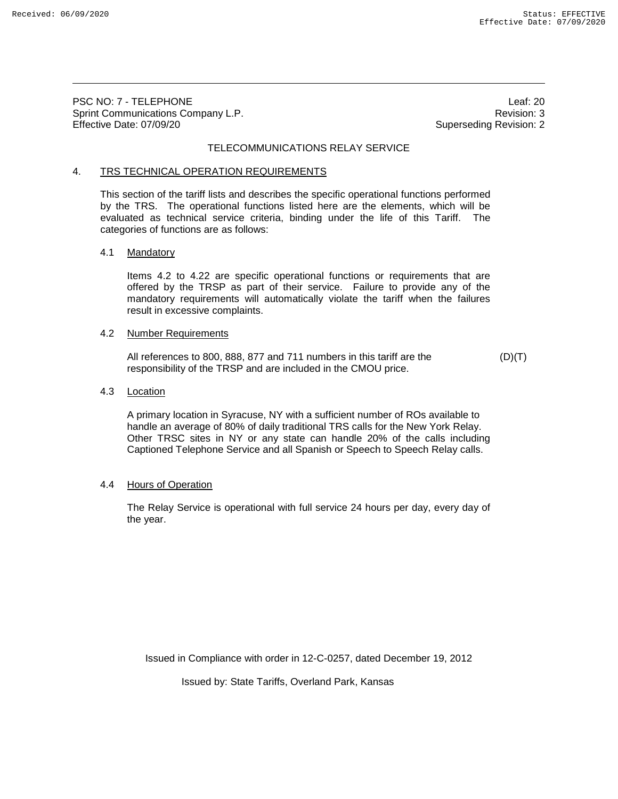PSC NO: 7 - TELEPHONE<br>
Sprint Communications Company L.P.<br>
Sprint Communications Company L.P. Sprint Communications Company L.P. Effective Date: 07/09/20 Superseding Revision: 2

### TELECOMMUNICATIONS RELAY SERVICE

### 4. TRS TECHNICAL OPERATION REQUIREMENTS

This section of the tariff lists and describes the specific operational functions performed by the TRS. The operational functions listed here are the elements, which will be evaluated as technical service criteria, binding under the life of this Tariff. The categories of functions are as follows:

### 4.1 Mandatory

Items 4.2 to 4.22 are specific operational functions or requirements that are offered by the TRSP as part of their service. Failure to provide any of the mandatory requirements will automatically violate the tariff when the failures result in excessive complaints.

#### 4.2 Number Requirements

All references to 800, 888, 877 and 711 numbers in this tariff are the (D)(T) responsibility of the TRSP and are included in the CMOU price.

#### 4.3 Location

A primary location in Syracuse, NY with a sufficient number of ROs available to handle an average of 80% of daily traditional TRS calls for the New York Relay. Other TRSC sites in NY or any state can handle 20% of the calls including Captioned Telephone Service and all Spanish or Speech to Speech Relay calls.

#### 4.4 Hours of Operation

The Relay Service is operational with full service 24 hours per day, every day of the year.

Issued in Compliance with order in 12-C-0257, dated December 19, 2012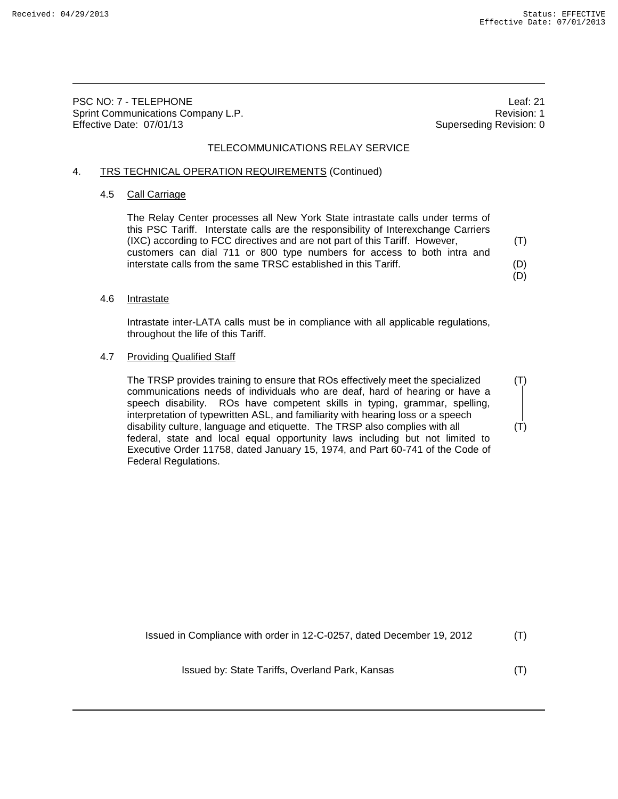PSC NO: 7 - TELEPHONE Leaf: 21 Sprint Communications Company L.P. **Revision: 1** According to the series of the series of the series of the series of the series of the series of the series of the series of the series of the series of the series of the se Effective Date: 07/01/13 **Superseding Revision: 0** Superseding Revision: 0

## TELECOMMUNICATIONS RELAY SERVICE

### 4. TRS TECHNICAL OPERATION REQUIREMENTS (Continued)

#### 4.5 Call Carriage

The Relay Center processes all New York State intrastate calls under terms of this PSC Tariff. Interstate calls are the responsibility of Interexchange Carriers (IXC) according to FCC directives and are not part of this Tariff. However, (T) customers can dial 711 or 800 type numbers for access to both intra and interstate calls from the same TRSC established in this Tariff. (D)

(D)

#### 4.6 Intrastate

Intrastate inter-LATA calls must be in compliance with all applicable regulations, throughout the life of this Tariff.

### 4.7 Providing Qualified Staff

The TRSP provides training to ensure that ROs effectively meet the specialized (T) communications needs of individuals who are deaf, hard of hearing or have a speech disability. ROs have competent skills in typing, grammar, spelling, interpretation of typewritten ASL, and familiarity with hearing loss or a speech disability culture, language and etiquette. The TRSP also complies with all (T) federal, state and local equal opportunity laws including but not limited to Executive Order 11758, dated January 15, 1974, and Part 60-741 of the Code of Federal Regulations.

Issued in Compliance with order in 12-C-0257, dated December 19, 2012 (T)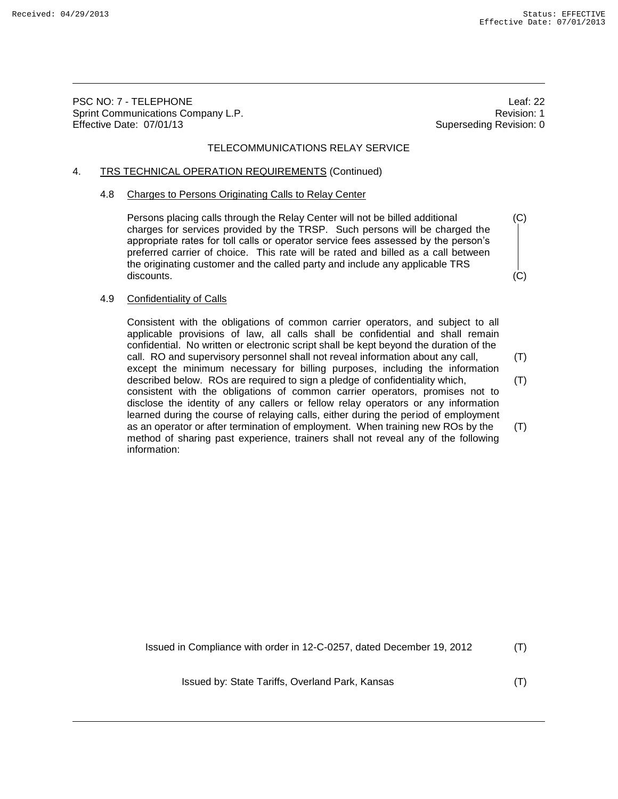PSC NO: 7 - TELEPHONE Leaf: 22 Sprint Communications Company L.P. **Revision: 1** According to the series of the series of the series of the series of the series of the series of the series of the series of the series of the series of the series of the se Effective Date: 07/01/13 Superseding Revision: 0

## TELECOMMUNICATIONS RELAY SERVICE

## 4. TRS TECHNICAL OPERATION REQUIREMENTS (Continued)

#### 4.8 Charges to Persons Originating Calls to Relay Center

Persons placing calls through the Relay Center will not be billed additional (C) charges for services provided by the TRSP. Such persons will be charged the appropriate rates for toll calls or operator service fees assessed by the person's preferred carrier of choice. This rate will be rated and billed as a call between the originating customer and the called party and include any applicable TRS discounts. (C)

## 4.9 Confidentiality of Calls

Consistent with the obligations of common carrier operators, and subject to all applicable provisions of law, all calls shall be confidential and shall remain confidential. No written or electronic script shall be kept beyond the duration of the call. RO and supervisory personnel shall not reveal information about any call, (T) except the minimum necessary for billing purposes, including the information described below. ROs are required to sign a pledge of confidentiality which, (T) consistent with the obligations of common carrier operators, promises not to disclose the identity of any callers or fellow relay operators or any information learned during the course of relaying calls, either during the period of employment as an operator or after termination of employment. When training new ROs by the (T) method of sharing past experience, trainers shall not reveal any of the following information:

Issued in Compliance with order in 12-C-0257, dated December 19, 2012 (T)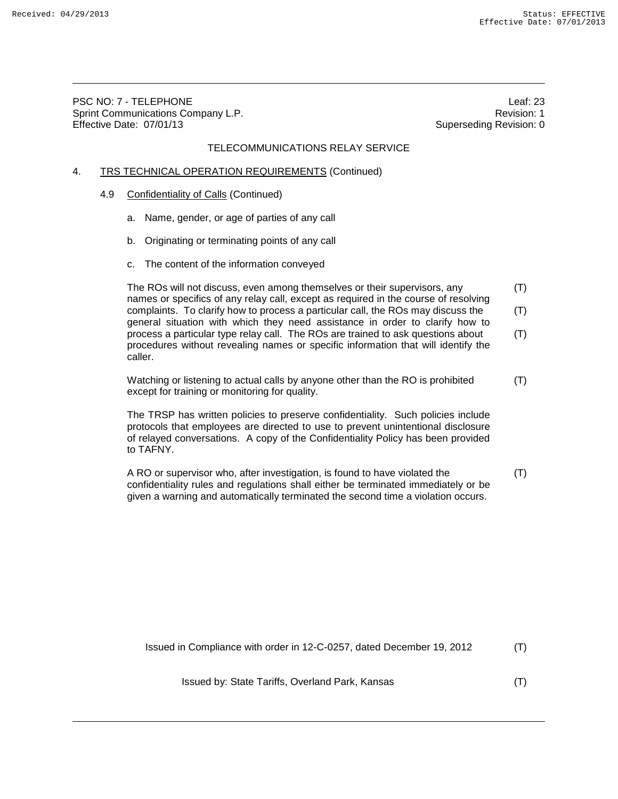PSC NO: 7 - TELEPHONE Leaf: 23 Sprint Communications Company L.P. **Revision: 1** According to the series of the series of the series of the series of the series of the series of the series of the series of the series of the series of the series of the se Effective Date: 07/01/13 **Superseding Revision: 0** Superseding Revision: 0

## TELECOMMUNICATIONS RELAY SERVICE

### 4. TRS TECHNICAL OPERATION REQUIREMENTS (Continued)

- 4.9 Confidentiality of Calls (Continued)
	- a. Name, gender, or age of parties of any call
	- b. Originating or terminating points of any call
	- c. The content of the information conveyed

The ROs will not discuss, even among themselves or their supervisors, any (T) names or specifics of any relay call, except as required in the course of resolving complaints. To clarify how to process a particular call, the ROs may discuss the (T) general situation with which they need assistance in order to clarify how to process a particular type relay call. The ROs are trained to ask questions about (T) procedures without revealing names or specific information that will identify the caller.

Watching or listening to actual calls by anyone other than the RO is prohibited  $(1)$ except for training or monitoring for quality.

The TRSP has written policies to preserve confidentiality. Such policies include protocols that employees are directed to use to prevent unintentional disclosure of relayed conversations. A copy of the Confidentiality Policy has been provided to TAFNY.

A RO or supervisor who, after investigation, is found to have violated the (T) confidentiality rules and regulations shall either be terminated immediately or be given a warning and automatically terminated the second time a violation occurs.

| Issued in Compliance with order in 12-C-0257, dated December 19, 2012 |  |
|-----------------------------------------------------------------------|--|
|                                                                       |  |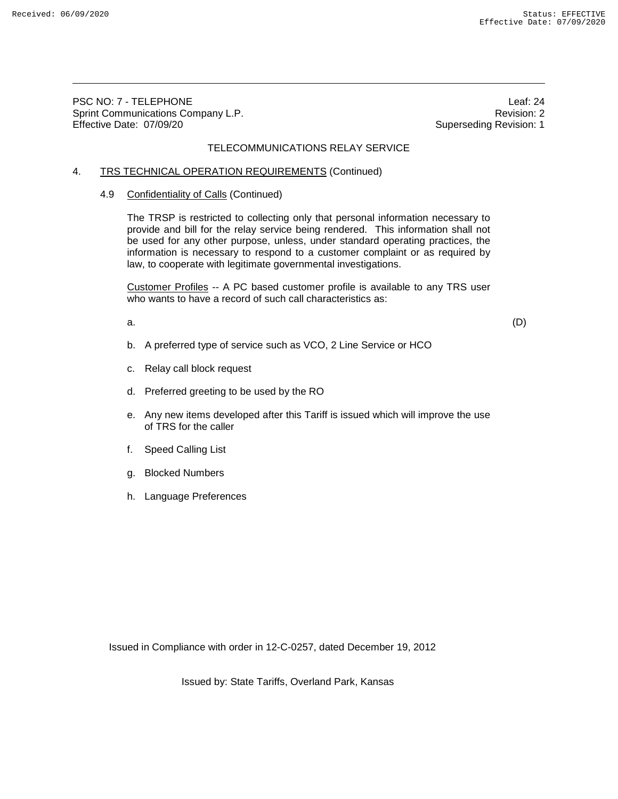PSC NO: 7 - TELEPHONE LONGINIA AND THE SERVICE OF THE SERVICE OF THE SERVICE OF THE SERVICE OF THE SERVICE OF T<br>
Persistent Communications Company L.P. Communications Company L.P. Sprint Communications Company L.P. Effective Date: 07/09/20 **Superseding Revision: 1** Superseding Revision: 1

## TELECOMMUNICATIONS RELAY SERVICE

### 4. TRS TECHNICAL OPERATION REQUIREMENTS (Continued)

### 4.9 Confidentiality of Calls (Continued)

The TRSP is restricted to collecting only that personal information necessary to provide and bill for the relay service being rendered. This information shall not be used for any other purpose, unless, under standard operating practices, the information is necessary to respond to a customer complaint or as required by law, to cooperate with legitimate governmental investigations.

Customer Profiles -- A PC based customer profile is available to any TRS user who wants to have a record of such call characteristics as:

a. (D)

- b. A preferred type of service such as VCO, 2 Line Service or HCO
- c. Relay call block request
- d. Preferred greeting to be used by the RO
- e. Any new items developed after this Tariff is issued which will improve the use of TRS for the caller
- f. Speed Calling List
- g. Blocked Numbers
- h. Language Preferences

Issued in Compliance with order in 12-C-0257, dated December 19, 2012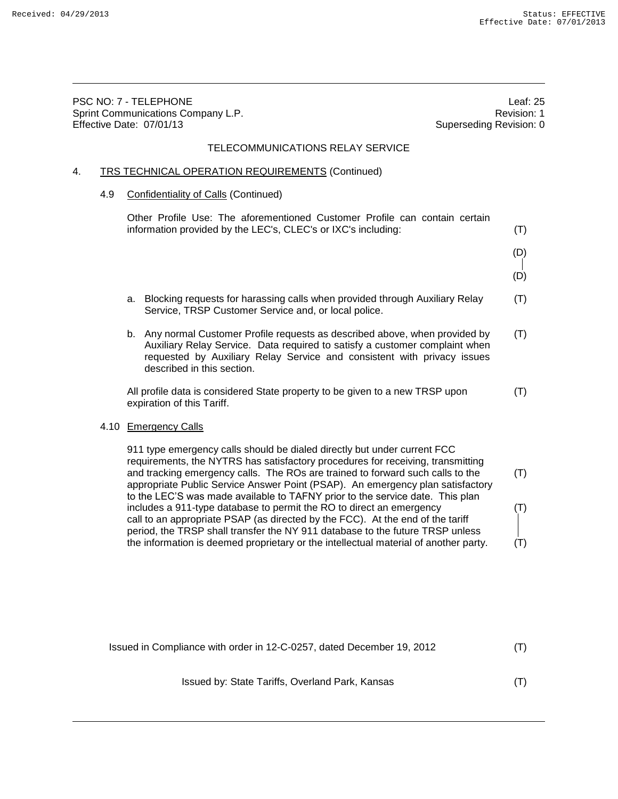PSC NO: 7 - TELEPHONE Leaf: 25 Sprint Communications Company L.P. **Revision: 1** According to the series of the series of the series of the series of the series of the series of the series of the series of the series of the series of the series of the se Effective Date: 07/01/13 **Superseding Revision: 0** Superseding Revision: 0 TELECOMMUNICATIONS RELAY SERVICE 4. TRS TECHNICAL OPERATION REQUIREMENTS (Continued) 4.9 Confidentiality of Calls (Continued) Other Profile Use: The aforementioned Customer Profile can contain certain information provided by the LEC's, CLEC's or IXC's including: (T) (D) (D) a. Blocking requests for harassing calls when provided through Auxiliary Relay (T) Service, TRSP Customer Service and, or local police. b. Any normal Customer Profile requests as described above, when provided by  $(T)$ Auxiliary Relay Service. Data required to satisfy a customer complaint when requested by Auxiliary Relay Service and consistent with privacy issues described in this section. All profile data is considered State property to be given to a new TRSP upon (T) expiration of this Tariff. 4.10 Emergency Calls 911 type emergency calls should be dialed directly but under current FCC requirements, the NYTRS has satisfactory procedures for receiving, transmitting

| Issued in Compliance with order in 12-C-0257, dated December 19, 2012 |     |  |  |  |
|-----------------------------------------------------------------------|-----|--|--|--|
| Issued by: State Tariffs, Overland Park, Kansas                       | (T) |  |  |  |

and tracking emergency calls. The ROs are trained to forward such calls to the (T)

includes a 911-type database to permit the RO to direct an emergency (T)

the information is deemed proprietary or the intellectual material of another party. (T)

appropriate Public Service Answer Point (PSAP). An emergency plan satisfactory to the LEC'S was made available to TAFNY prior to the service date. This plan

call to an appropriate PSAP (as directed by the FCC). At the end of the tariff period, the TRSP shall transfer the NY 911 database to the future TRSP unless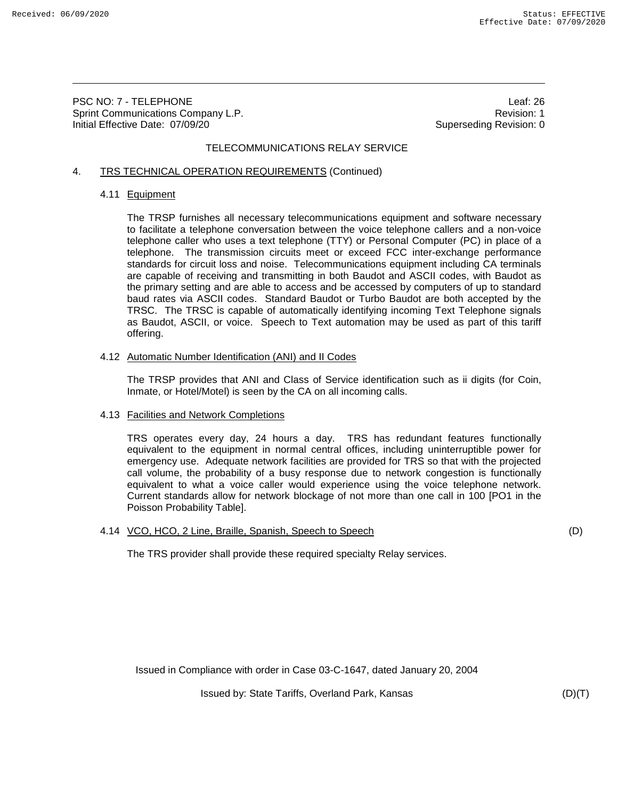PSC NO: 7 - TELEPHONE<br>
Sprint Communications Company L.P.<br>
Sprint Communications Company L.P. Sprint Communications Company L.P.<br>
Initial Effective Date: 07/09/20<br>
Superseding Revision: 0 Initial Effective Date: 07/09/20

## TELECOMMUNICATIONS RELAY SERVICE

### 4. TRS TECHNICAL OPERATION REQUIREMENTS (Continued)

### 4.11 Equipment

The TRSP furnishes all necessary telecommunications equipment and software necessary to facilitate a telephone conversation between the voice telephone callers and a non-voice telephone caller who uses a text telephone (TTY) or Personal Computer (PC) in place of a telephone. The transmission circuits meet or exceed FCC inter-exchange performance standards for circuit loss and noise. Telecommunications equipment including CA terminals are capable of receiving and transmitting in both Baudot and ASCII codes, with Baudot as the primary setting and are able to access and be accessed by computers of up to standard baud rates via ASCII codes. Standard Baudot or Turbo Baudot are both accepted by the TRSC. The TRSC is capable of automatically identifying incoming Text Telephone signals as Baudot, ASCII, or voice. Speech to Text automation may be used as part of this tariff offering.

### 4.12 Automatic Number Identification (ANI) and II Codes

The TRSP provides that ANI and Class of Service identification such as ii digits (for Coin, Inmate, or Hotel/Motel) is seen by the CA on all incoming calls.

#### 4.13 Facilities and Network Completions

TRS operates every day, 24 hours a day. TRS has redundant features functionally equivalent to the equipment in normal central offices, including uninterruptible power for emergency use. Adequate network facilities are provided for TRS so that with the projected call volume, the probability of a busy response due to network congestion is functionally equivalent to what a voice caller would experience using the voice telephone network. Current standards allow for network blockage of not more than one call in 100 [PO1 in the Poisson Probability Table].

## 4.14 VCO, HCO, 2 Line, Braille, Spanish, Speech to Speech (D)

The TRS provider shall provide these required specialty Relay services.

Issued in Compliance with order in Case 03-C-1647, dated January 20, 2004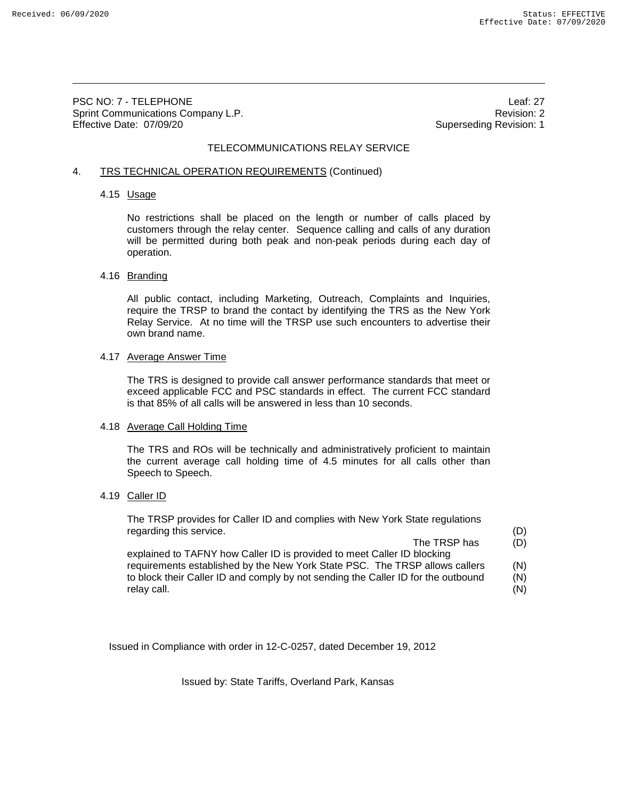PSC NO: 7 - TELEPHONE LONGINIA AND THE SERVICE OF THE SERVICE OF THE SERVICE OF THE SERVICE OF THE SERVICE OF T<br>
Persistent Communications Company L.P. Communications Company L.P. Sprint Communications Company L.P. Effective Date: 07/09/20 **Superseding Revision: 1** Superseding Revision: 1

### TELECOMMUNICATIONS RELAY SERVICE

### 4. TRS TECHNICAL OPERATION REQUIREMENTS (Continued)

#### 4.15 Usage

No restrictions shall be placed on the length or number of calls placed by customers through the relay center. Sequence calling and calls of any duration will be permitted during both peak and non-peak periods during each day of operation.

#### 4.16 Branding

All public contact, including Marketing, Outreach, Complaints and Inquiries, require the TRSP to brand the contact by identifying the TRS as the New York Relay Service. At no time will the TRSP use such encounters to advertise their own brand name.

#### 4.17 Average Answer Time

The TRS is designed to provide call answer performance standards that meet or exceed applicable FCC and PSC standards in effect. The current FCC standard is that 85% of all calls will be answered in less than 10 seconds.

#### 4.18 Average Call Holding Time

The TRS and ROs will be technically and administratively proficient to maintain the current average call holding time of 4.5 minutes for all calls other than Speech to Speech.

### 4.19 Caller ID

The TRSP provides for Caller ID and complies with New York State regulations regarding this service. (D)

The TRSP has (D)

explained to TAFNY how Caller ID is provided to meet Caller ID blocking requirements established by the New York State PSC. The TRSP allows callers (N) to block their Caller ID and comply by not sending the Caller ID for the outbound (N) relay call. (N)

Issued in Compliance with order in 12-C-0257, dated December 19, 2012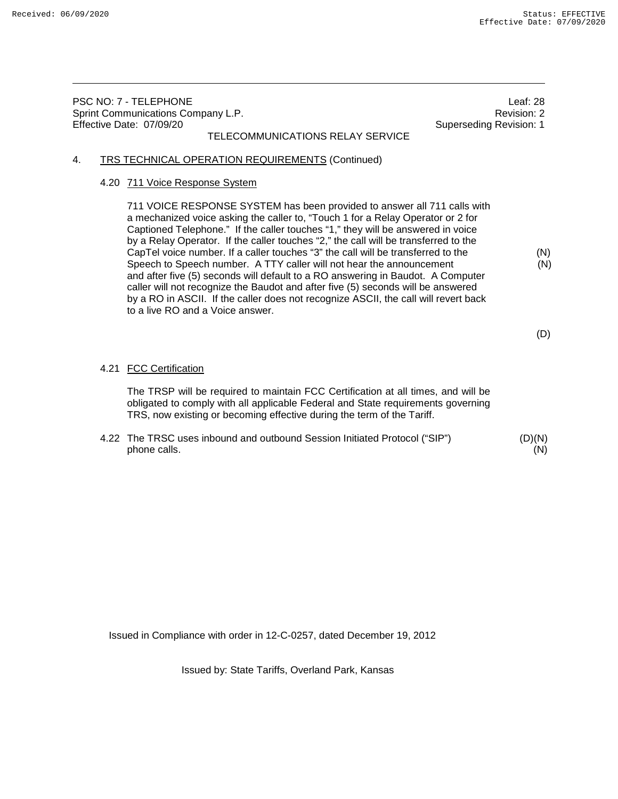PSC NO: 7 - TELEPHONE<br>
Sprint Communications Company L.P.<br>
Sprint Communications Company L.P. Sprint Communications Company L.P. Effective Date: 07/09/20 **Superseding Revision: 1** Superseding Revision: 1 TELECOMMUNICATIONS RELAY SERVICE 4. TRS TECHNICAL OPERATION REQUIREMENTS (Continued) 4.20 711 Voice Response System 711 VOICE RESPONSE SYSTEM has been provided to answer all 711 calls with a mechanized voice asking the caller to, "Touch 1 for a Relay Operator or 2 for Captioned Telephone." If the caller touches "1," they will be answered in voice by a Relay Operator. If the caller touches "2," the call will be transferred to the CapTel voice number. If a caller touches "3" the call will be transferred to the (N) Speech to Speech number. A TTY caller will not hear the announcement (N) and after five (5) seconds will default to a RO answering in Baudot. A Computer caller will not recognize the Baudot and after five (5) seconds will be answered by a RO in ASCII. If the caller does not recognize ASCII, the call will revert back to a live RO and a Voice answer. (D) 4.21 FCC Certification The TRSP will be required to maintain FCC Certification at all times, and will be obligated to comply with all applicable Federal and State requirements governing

4.22 The TRSC uses inbound and outbound Session Initiated Protocol ("SIP") (D)(N) phone calls. (N)

TRS, now existing or becoming effective during the term of the Tariff.

Issued in Compliance with order in 12-C-0257, dated December 19, 2012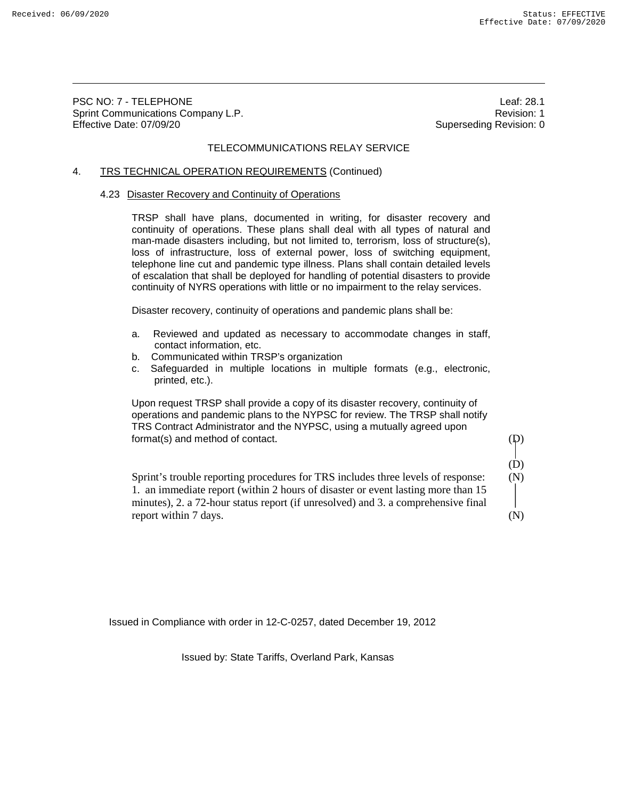PSC NO: 7 - TELEPHONE<br>
Sprint Communications Company L.P.<br>
Sprint Communications Company L.P. Sprint Communications Company L.P. Effective Date: 07/09/20 Superseding Revision: 0

## TELECOMMUNICATIONS RELAY SERVICE

### 4. TRS TECHNICAL OPERATION REQUIREMENTS (Continued)

#### 4.23 Disaster Recovery and Continuity of Operations

TRSP shall have plans, documented in writing, for disaster recovery and continuity of operations. These plans shall deal with all types of natural and man-made disasters including, but not limited to, terrorism, loss of structure(s), loss of infrastructure, loss of external power, loss of switching equipment, telephone line cut and pandemic type illness. Plans shall contain detailed levels of escalation that shall be deployed for handling of potential disasters to provide continuity of NYRS operations with little or no impairment to the relay services.

Disaster recovery, continuity of operations and pandemic plans shall be:

- a. Reviewed and updated as necessary to accommodate changes in staff, contact information, etc.
- b. Communicated within TRSP's organization
- c. Safeguarded in multiple locations in multiple formats (e.g., electronic, printed, etc.).

Upon request TRSP shall provide a copy of its disaster recovery, continuity of operations and pandemic plans to the NYPSC for review. The TRSP shall notify TRS Contract Administrator and the NYPSC, using a mutually agreed upon format(s) and method of contact. (D)

 $(D)$ 

Sprint's trouble reporting procedures for TRS includes three levels of response: (N) 1. an immediate report (within 2 hours of disaster or event lasting more than 15 minutes), 2. a 72-hour status report (if unresolved) and 3. a comprehensive final report within 7 days. (N)

Issued in Compliance with order in 12-C-0257, dated December 19, 2012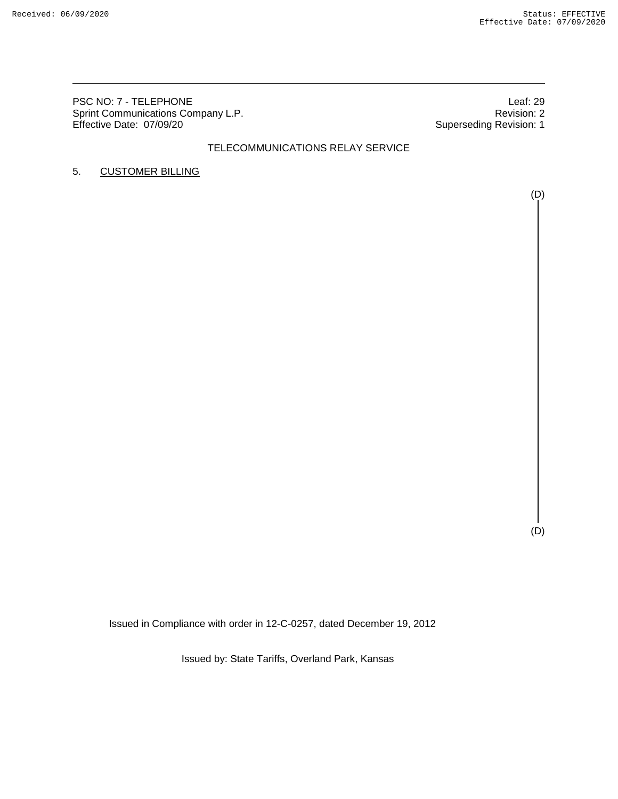PSC NO: 7 - TELEPHONE<br>
Sprint Communications Company L.P.<br>
2 Revision: 2 Sprint Communications Company L.P.<br>Effective Date: 07/09/20

Superseding Revision: 1

# TELECOMMUNICATIONS RELAY SERVICE

## 5. CUSTOMER BILLING

(D)

(D)

Issued in Compliance with order in 12-C-0257, dated December 19, 2012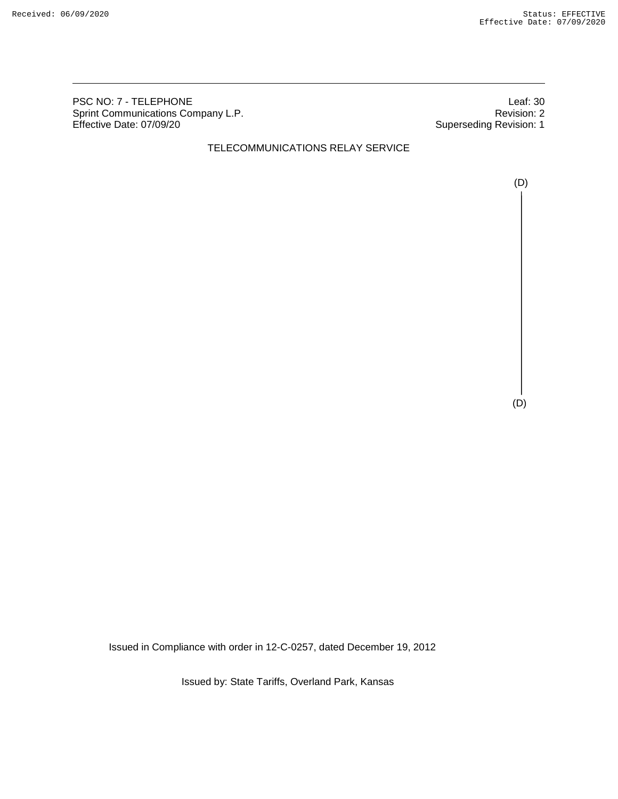PSC NO: 7 - TELEPHONE Leaf: 30<br>
Sprint Communications Company L.P. Sprint Communications Company L.P. Sprint Communications Company L.P.<br>Effective Date: 07/09/20

Superseding Revision: 1

# TELECOMMUNICATIONS RELAY SERVICE

(D)

(D)

Issued in Compliance with order in 12-C-0257, dated December 19, 2012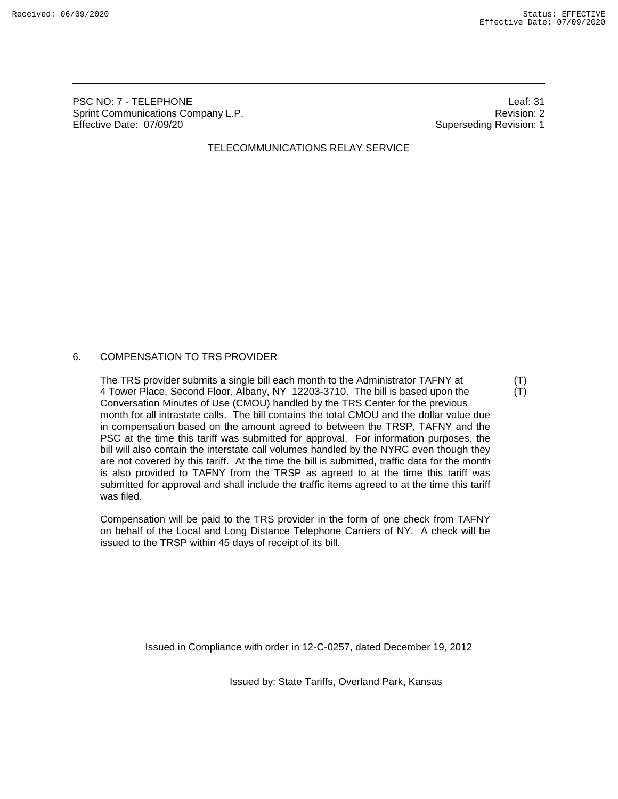PSC NO: 7 - TELEPHONE LONGINIA AND THE SERVICE OF THE SERVICE OF THE SERVICE OF THE SERVICE OF THE SERVICE OF T<br>
Persistent Communications Company L.P. Communications Company L.P. Sprint Communications Company L.P. Effective Date: 07/09/20 **Superseding Revision: 1** Superseding Revision: 1

# TELECOMMUNICATIONS RELAY SERVICE

### 6. COMPENSATION TO TRS PROVIDER

The TRS provider submits a single bill each month to the Administrator TAFNY at (T)<br>4 Tower Place, Second Floor, Albany, NY 12203-3710. The bill is based upon the (T) 4 Tower Place, Second Floor, Albany, NY 12203-3710. The bill is based upon the Conversation Minutes of Use (CMOU) handled by the TRS Center for the previous month for all intrastate calls. The bill contains the total CMOU and the dollar value due in compensation based on the amount agreed to between the TRSP, TAFNY and the PSC at the time this tariff was submitted for approval. For information purposes, the bill will also contain the interstate call volumes handled by the NYRC even though they are not covered by this tariff. At the time the bill is submitted, traffic data for the month is also provided to TAFNY from the TRSP as agreed to at the time this tariff was submitted for approval and shall include the traffic items agreed to at the time this tariff was filed.

Compensation will be paid to the TRS provider in the form of one check from TAFNY on behalf of the Local and Long Distance Telephone Carriers of NY. A check will be issued to the TRSP within 45 days of receipt of its bill.

Issued in Compliance with order in 12-C-0257, dated December 19, 2012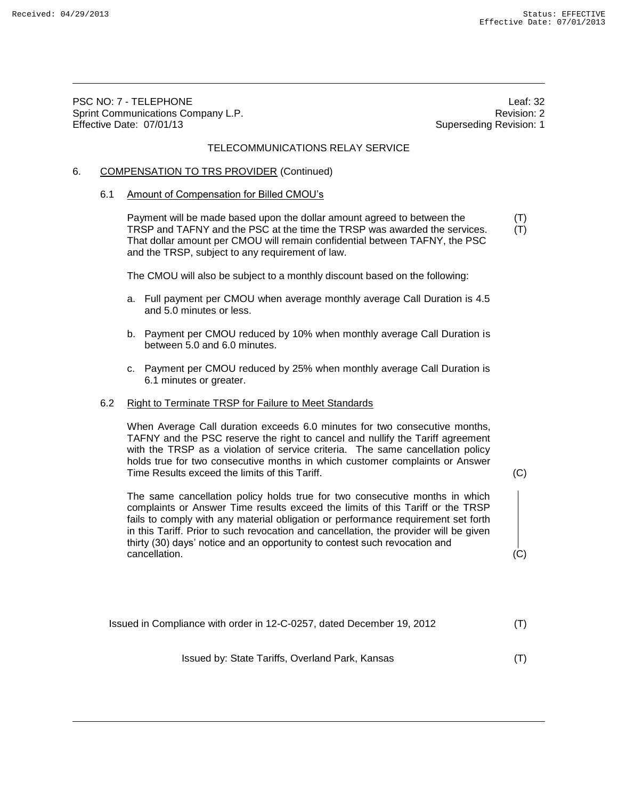PSC NO: 7 - TELEPHONE Leaf: 32 Sprint Communications Company L.P. **Revision: 2** and 2 and 2 and 2 and 2 and 2 and 2 and 2 and 2 and 2 and 2 and 2 and 2 and 2 and 2 and 2 and 2 and 2 and 2 and 2 and 2 and 2 and 2 and 2 and 2 and 2 and 2 and 2 and 2 and 2 Effective Date: 07/01/13 Superseding Revision: 1

## TELECOMMUNICATIONS RELAY SERVICE

### 6. COMPENSATION TO TRS PROVIDER (Continued)

#### 6.1 Amount of Compensation for Billed CMOU's

Payment will be made based upon the dollar amount agreed to between the (T) TRSP and TAFNY and the PSC at the time the TRSP was awarded the services. (T) That dollar amount per CMOU will remain confidential between TAFNY, the PSC and the TRSP, subject to any requirement of law.

The CMOU will also be subject to a monthly discount based on the following:

- a. Full payment per CMOU when average monthly average Call Duration is 4.5 and 5.0 minutes or less.
- b. Payment per CMOU reduced by 10% when monthly average Call Duration is between 5.0 and 6.0 minutes.
- c. Payment per CMOU reduced by 25% when monthly average Call Duration is 6.1 minutes or greater.

#### 6.2 Right to Terminate TRSP for Failure to Meet Standards

When Average Call duration exceeds 6.0 minutes for two consecutive months, TAFNY and the PSC reserve the right to cancel and nullify the Tariff agreement with the TRSP as a violation of service criteria. The same cancellation policy holds true for two consecutive months in which customer complaints or Answer Time Results exceed the limits of this Tariff. (C)

The same cancellation policy holds true for two consecutive months in which complaints or Answer Time results exceed the limits of this Tariff or the TRSP fails to comply with any material obligation or performance requirement set forth in this Tariff. Prior to such revocation and cancellation, the provider will be given thirty (30) days' notice and an opportunity to contest such revocation and cancellation. (C) (C)

Issued in Compliance with order in 12-C-0257, dated December 19, 2012 (T)